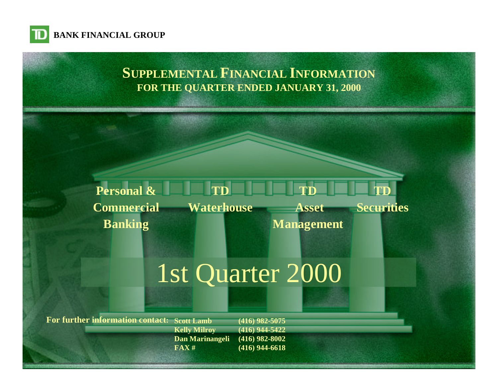

# **SUPPLEMENTAL FINANCIAL INFORMATION FOR THE QUARTER ENDED JANUARY 31, 2000**

#### **TD Waterhouse Personal & Commercial Banking TD Asset Management TD Securities**

[1st Quarter 2000](#page-1-0)

**For further information contact: Scott Lamb**

**Kelly Milroy Dan Marinangeli FAX # (416) 982-5075**

**(416) 944-5422 (416) 982-8002 (416) 944-6618**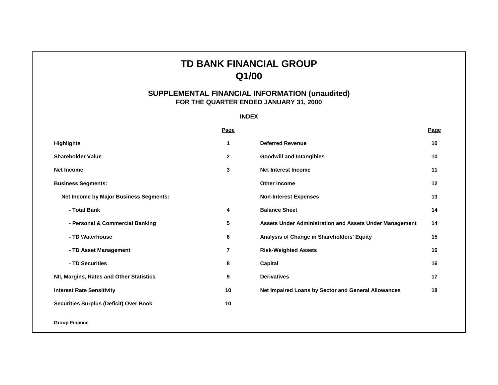## **TD BANK FINANCIAL GROUP Q1/00**

## **SUPPLEMENTAL FINANCIAL INFORMATION (unaudited) FOR THE QUARTER ENDED JANUARY 31, 2000**

### **INDEX**

<span id="page-1-0"></span>

|                                               | <b>Page</b>    |                                                                | Page |
|-----------------------------------------------|----------------|----------------------------------------------------------------|------|
| <b>Highlights</b>                             | 1              | <b>Deferred Revenue</b>                                        | 10   |
| <b>Shareholder Value</b>                      | $\mathbf{2}$   | <b>Goodwill and Intangibles</b>                                | 10   |
| Net Income                                    | 3              | <b>Net Interest Income</b>                                     | 11   |
| <b>Business Segments:</b>                     |                | <b>Other Income</b>                                            | 12   |
| Net Income by Major Business Segments:        |                | <b>Non-Interest Expenses</b>                                   | 13   |
| - Total Bank                                  | 4              | <b>Balance Sheet</b>                                           | 14   |
| - Personal & Commercial Banking               | 5              | <b>Assets Under Administration and Assets Under Management</b> | 14   |
| - TD Waterhouse                               | 6              | Analysis of Change in Shareholders' Equity                     | 15   |
| - TD Asset Management                         | $\overline{7}$ | <b>Risk-Weighted Assets</b>                                    | 16   |
| - TD Securities                               | 8              | Capital                                                        | 16   |
| NII, Margins, Rates and Other Statistics      | 9              | <b>Derivatives</b>                                             | 17   |
| <b>Interest Rate Sensitivity</b>              | 10             | Net Impaired Loans by Sector and General Allowances            | 18   |
| <b>Securities Surplus (Deficit) Over Book</b> | 10             |                                                                |      |
| <b>Group Finance</b>                          |                |                                                                |      |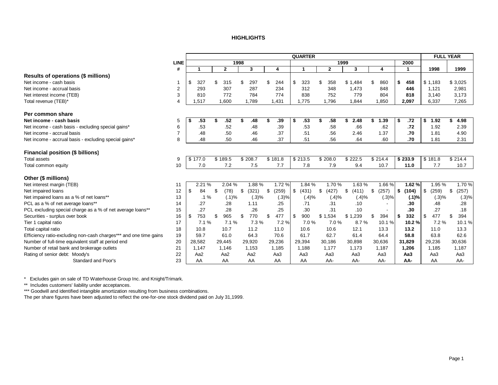#### **HIGHLIGHTS**

<span id="page-2-0"></span>

|                                                                   |             |         |                 |                 |         |       |             |       | <b>QUARTER</b> |                 |             |                          |                 | <b>FULL YEAR</b> |             |
|-------------------------------------------------------------------|-------------|---------|-----------------|-----------------|---------|-------|-------------|-------|----------------|-----------------|-------------|--------------------------|-----------------|------------------|-------------|
|                                                                   | <b>LINE</b> |         |                 |                 | 1998    |       |             |       |                |                 | 1999        |                          | 2000            |                  |             |
|                                                                   | #           |         |                 | $\mathbf{2}$    |         | 3     | 4           |       | 1              | $\mathbf{2}$    | 3           | 4                        |                 | 1998             | 1999        |
| Results of operations (\$ millions)                               |             |         |                 |                 |         |       |             |       |                |                 |             |                          |                 |                  |             |
| Net income - cash basis                                           |             | \$.     | 327             | \$<br>315       | \$      | 297   | 244         |       | \$<br>323      | 358             | \$1.484     | \$<br>860                | \$<br>458       | \$1,183          | \$3,025     |
| Net income - accrual basis                                        | 2           |         | 293             | 307             |         | 287   | 234         |       | 312            | 348             | 1.473       | 848                      | 446             | 1,121            | 2,981       |
| Net interest income (TEB)                                         | 3           |         | 810             | 772             |         | 784   | 774         |       | 838            | 752             | 779         | 804                      | 818             | 3,140            | 3,173       |
| Total revenue (TEB)*                                              | 4           |         | 1,517           | 1.600           | 1.789   |       | 1,431       |       | 1,775          | 1.796           | 1.844       | 1,850                    | 2,097           | 6,337            | 7,265       |
| Per common share                                                  |             |         |                 |                 |         |       |             |       |                |                 |             |                          |                 |                  |             |
| Net income - cash basis                                           | 5           | - 5     | .53             | \$<br>.52       | \$      | .48   |             | .39   | \$<br>.53      | .58<br>\$       | 2.48<br>\$  | \$<br>1.39               | \$<br>.72       | \$<br>1.92       | 4.98        |
| Net income - cash basis - excluding special gains*                | 6           |         | .53             | .52             |         | .48   |             | .39   | .53            | .58             | .66         | .62                      | .72             | 1.92             | 2.39        |
| Net income - accrual basis                                        |             |         | .48             | .50             |         | .46   |             | .37   | .51            | .56             | 2.46        | 1.37                     | .70             | 1.81             | 4.90        |
| Net income - accrual basis - excluding special gains*             | 8           |         | .48             | .50             |         | .46   |             | .37   | .51            | .56             | .64         | .60                      | .70             | 1.81             | 2.31        |
| <b>Financial position (\$ billions)</b>                           |             |         |                 |                 |         |       |             |       |                |                 |             |                          |                 |                  |             |
| <b>Total assets</b>                                               | 9           | \$177.0 |                 | \$189.5         | \$208.7 |       | \$181.8     |       | \$213.5        | \$208.0         | \$222.5     | \$214.4                  | \$233.9         | \$181.8          | \$214.4     |
| Total common equity                                               | 10          |         | 7.0             | 7.2             |         | 7.5   |             | 7.7   | 7.8            | 7.9             | 9.4         | 10.7                     | 11.0            | 7.7              | 10.7        |
| Other (\$ millions)                                               |             |         |                 |                 |         |       |             |       |                |                 |             |                          |                 |                  |             |
| Net interest margin (TEB)                                         | 11          |         | 2.21 %          | 2.04 %          |         | 1.88% |             | 1.72% | 1.84 %         | 1.70%           | 1.63%       | 1.66%                    | 1.62%           | 1.95 %           | 1.70%       |
| Net impaired loans                                                | 12          | \$      | 84              | \$<br>(78)      | \$      | (321) | (259)<br>\$ |       | \$<br>(431)    | (427)<br>\$     | \$<br>(411) | \$<br>(257)              | \$<br>(104)     | \$<br>(259)      | \$<br>(257) |
| Net impaired loans as a % of net loans**                          | 13          |         | $.1\%$          | (.1)%           |         | (.3)% |             | (.3)% | (.4)%          | (.4)%           | (.4)%       | (.3)%                    | (.1)%           | (.3)%            | (.3)%       |
| PCL as a % of net average loans**                                 | 14          |         | .27             | .28             |         | 1.11  |             | .25   | .71            | .31             | .10         |                          | .30             | .48              | .28         |
| PCL excluding special charge as a % of net average loans**        | 15          |         | .27             | 28              |         | .26   |             | .25   | .30            | .31             | .10         | $\overline{\phantom{a}}$ | .30             | .27              | .18         |
| Securities - surplus over book                                    | 16          | ß.      | 753             | \$<br>965       | \$      | 770   | 477<br>£.   |       | \$<br>900      | \$1,534         | ,239<br>\$1 | \$<br>394                | \$<br>332       | \$<br>477        | \$<br>394   |
| Tier 1 capital ratio                                              | 17          |         | 7.1%            | 7.1%            |         | 7.3%  |             | 7.2%  | 7.0%           | 7.0%            | 8.7%        | 10.1%                    | 10.2%           | 7.2%             | 10.1%       |
| Total capital ratio                                               | 18          |         | 10.8            | 10.7            |         | 11.2  | 11.0        |       | 10.6           | 10.6            | 12.1        | 13.3                     | 13.2            | 11.0             | 13.3        |
| Efficiency ratio-excluding non-cash charges*** and one time gains | 19          |         | 59.7            | 61.0            |         | 64.3  | 70.6        |       | 61.7           | 62.7            | 61.4        | 64.4                     | 58.8            | 63.8             | 62.6        |
| Number of full-time equivalent staff at period end                | 20          |         | 28,582          | 29,445          | 29,920  |       | 29,236      |       | 29,394         | 30,186          | 30,898      | 30,636                   | 31,829          | 29,236           | 30,636      |
| Number of retail bank and brokerage outlets                       | 21          |         | 1,147           | 1,146           | 1,153   |       | 1,185       |       | 1,188          | 1,177           | 1,173       | 1,187                    | 1,206           | 1,185            | 1,187       |
| Rating of senior debt: Moody's                                    | 22          |         | Aa <sub>2</sub> | Aa <sub>2</sub> | Aa2     |       | Aa3         |       | Aa3            | Aa <sub>3</sub> | Aa3         | Aa3                      | Aa <sub>3</sub> | Aa3              | Aa3         |
| Standard and Poor's                                               | 23          |         | AA              | AA              |         | AA    | AA          |       | AA             | AA-             | AA-         | AA-                      | AA-             | AA               | AA-         |

\* Excludes gain on sale of TD Waterhouse Group Inc. and Knight/Trimark.

\*\* Includes customers' liability under acceptances.

\*\*\* Goodwill and identified intangible amortization resulting from business combinations.

The per share figures have been adjusted to reflect the one-for-one stock dividend paid on July 31,1999.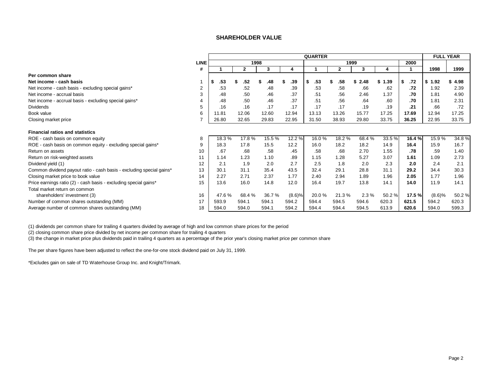#### **SHAREHOLDER VALUE**

<span id="page-3-0"></span>

|                                                                      |                |           |       |       |        | <b>QUARTER</b> |       |            |            |           | <b>FULL YEAR</b> |       |
|----------------------------------------------------------------------|----------------|-----------|-------|-------|--------|----------------|-------|------------|------------|-----------|------------------|-------|
|                                                                      | <b>LINE</b>    |           | 1998  |       |        |                | 1999  |            |            | 2000      |                  |       |
|                                                                      | #              |           | 2     | 3     | 4      |                | 2     | 3          | 4          |           | 1998             | 1999  |
| Per common share                                                     |                |           |       |       |        |                |       |            |            |           |                  |       |
| Net income - cash basis                                              |                | \$<br>.53 | .52   | .48   | .39    | \$<br>.53      | .58   | 2.48<br>\$ | 1.39<br>\$ | \$<br>.72 | \$1.92           | 4.98  |
| Net income - cash basis - excluding special gains*                   | $\overline{2}$ | .53       | .52   | .48   | .39    | .53            | .58   | .66        | .62        | .72       | 1.92             | 2.39  |
| Net income - accrual basis                                           |                | .48       | .50   | .46   | .37    | .51            | .56   | 2.46       | 1.37       | .70       | 1.81             | 4.90  |
| Net income - accrual basis - excluding special gains*                |                | .48       | .50   | .46   | .37    | .51            | .56   | .64        | .60        | .70       | 1.81             | 2.31  |
| <b>Dividends</b>                                                     |                | .16       | .16   | .17   | .17    | .17            | .17   | .19        | .19        | .21       | .66              | .72   |
| Book value                                                           | 6              | 11.81     | 12.06 | 12.60 | 12.94  | 13.13          | 13.26 | 15.77      | 17.25      | 17.69     | 12.94            | 17.25 |
| Closing market price                                                 |                | 26.80     | 32.65 | 29.83 | 22.95  | 31.50          | 38.93 | 29.80      | 33.75      | 36.25     | 22.95            | 33.75 |
| <b>Financial ratios and statistics</b>                               |                |           |       |       |        |                |       |            |            |           |                  |       |
| ROE - cash basis on common equity                                    | 8              | 18.3%     | 17.8% | 15.5% | 12.2 % | 16.0%          | 18.2% | 68.4%      | 33.5%      | 16.4 %    | 15.9%            | 34.8% |
| ROE - cash basis on common equity - excluding special gains*         | 9              | 18.3      | 17.8  | 15.5  | 12.2   | 16.0           | 18.2  | 18.2       | 14.9       | 16.4      | 15.9             | 16.7  |
| Return on assets                                                     | 10             | .67       | .68   | .58   | .45    | .58            | .68   | 2.70       | 1.55       | .78       | .59              | 1.40  |
| Return on risk-weighted assets                                       | 11             | 1.14      | 1.23  | 1.10  | .89    | 1.15           | 1.28  | 5.27       | 3.07       | 1.61      | 1.09             | 2.73  |
| Dividend yield (1)                                                   | 12             | 2.1       | 1.9   | 2.0   | 2.7    | 2.5            | 1.8   | 2.0        | 2.3        | 2.0       | 2.4              | 2.1   |
| Common dividend payout ratio - cash basis - excluding special gains* | 13             | 30.1      | 31.1  | 35.4  | 43.5   | 32.4           | 29.1  | 28.8       | 31.1       | 29.2      | 34.4             | 30.3  |
| Closing market price to book value                                   | 14             | 2.27      | 2.71  | 2.37  | 1.77   | 2.40           | 2.94  | 1.89       | 1.96       | 2.05      | 1.77             | 1.96  |
| Price earnings ratio (2) - cash basis - excluding special gains*     | 15             | 13.6      | 16.0  | 14.8  | 12.0   | 16.4           | 19.7  | 13.8       | 14.1       | 14.0      | 11.9             | 14.1  |
| Total market return on common                                        |                |           |       |       |        |                |       |            |            |           |                  |       |
| shareholders' investment (3)                                         | 16             | 47.6%     | 68.4% | 36.7% | (8.6)% | 20.0%          | 21.3% | 2.3%       | 50.2%      | 17.5 %    | (8.6)%           | 50.2% |
| Number of common shares outstanding (MM)                             | 17             | 593.9     | 594.1 | 594.1 | 594.2  | 594.4          | 594.5 | 594.6      | 620.3      | 621.5     | 594.2            | 620.3 |
| Average number of common shares outstanding (MM)                     | 18             | 594.0     | 594.0 | 594.1 | 594.2  | 594.4          | 594.4 | 594.5      | 613.9      | 620.6     | 594.0            | 599.3 |

(1) dividends per common share for trailing 4 quarters divided by average of high and low common share prices for the period

(2) closing common share price divided by net income per common share for trailing 4 quarters

(3) the change in market price plus dividends paid in trailing 4 quarters as a percentage of the prior year's closing market price per common share

The per share figures have been adjusted to reflect the one-for-one stock dividend paid on July 31, 1999.

\*Excludes gain on sale of TD Waterhouse Group Inc. and Knight/Trimark.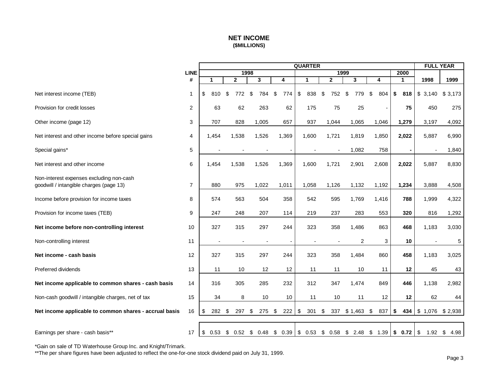## **NET INCOME (\$MILLIONS)**

<span id="page-4-0"></span>

|                                                                                     |                |           |                          |              |                          |           | <b>QUARTER</b> |     |                          |                                                                 |           |        |     | <b>FULL YEAR</b> |              |
|-------------------------------------------------------------------------------------|----------------|-----------|--------------------------|--------------|--------------------------|-----------|----------------|-----|--------------------------|-----------------------------------------------------------------|-----------|--------|-----|------------------|--------------|
|                                                                                     | <b>LINE</b>    |           |                          |              | 1998                     |           |                |     |                          | 1999                                                            |           | 2000   |     |                  |              |
|                                                                                     | #              | 1         |                          | $\mathbf{2}$ | 3                        | 4         | 1              |     | $\mathbf{2}$             | 3                                                               | 4         | 1      |     | 1998             | 1999         |
| Net interest income (TEB)                                                           | $\mathbf{1}$   | \$<br>810 | \$                       | 772          | \$<br>784                | \$<br>774 | \$             | 838 | \$<br>752                | \$<br>779                                                       | 804<br>\$ | \$     | 818 | \$<br>3,140      | \$<br>3,173  |
| Provision for credit losses                                                         | $\overline{2}$ | 63        |                          | 62           | 263                      | 62        |                | 175 | 75                       | 25                                                              |           |        | 75  | 450              | 275          |
| Other income (page 12)                                                              | 3              | 707       |                          | 828          | 1,005                    | 657       |                | 937 | 1,044                    | 1,065                                                           | 1,046     | 1,279  |     | 3,197            | 4,092        |
| Net interest and other income before special gains                                  | 4              | 1,454     |                          | 1,538        | 1,526                    | 1,369     | 1,600          |     | 1,721                    | 1,819                                                           | 1,850     | 2,022  |     | 5,887            | 6,990        |
| Special gains*                                                                      | 5              |           | $\blacksquare$           |              | $\overline{\phantom{a}}$ |           |                |     | $\overline{\phantom{a}}$ | 1,082                                                           | 758       |        |     |                  | 1,840        |
| Net interest and other income                                                       | 6              | 1,454     |                          | 1,538        | 1,526                    | 1,369     | 1,600          |     | 1,721                    | 2,901                                                           | 2,608     | 2,022  |     | 5,887            | 8,830        |
| Non-interest expenses excluding non-cash<br>goodwill / intangible charges (page 13) | $\overline{7}$ | 880       |                          | 975          | 1,022                    | 1,011     | 1,058          |     | 1,126                    | 1,132                                                           | 1,192     | 1,234  |     | 3,888            | 4,508        |
| Income before provision for income taxes                                            | 8              | 574       |                          | 563          | 504                      | 358       |                | 542 | 595                      | 1,769                                                           | 1,416     |        | 788 | 1,999            | 4,322        |
| Provision for income taxes (TEB)                                                    | 9              | 247       |                          | 248          | 207                      | 114       |                | 219 | 237                      | 283                                                             | 553       |        | 320 | 816              | 1,292        |
| Net income before non-controlling interest                                          | 10             | 327       |                          | 315          | 297                      | 244       |                | 323 | 358                      | 1,486                                                           | 863       |        | 468 | 1,183            | 3,030        |
| Non-controlling interest                                                            | 11             |           | $\overline{\phantom{a}}$ |              |                          |           |                |     |                          | $\overline{2}$                                                  | 3         |        | 10  |                  | 5            |
| Net income - cash basis                                                             | 12             | 327       |                          | 315          | 297                      | 244       |                | 323 | 358                      | 1,484                                                           | 860       |        | 458 | 1,183            | 3,025        |
| Preferred dividends                                                                 | 13             | 11        |                          | 10           | 12                       | 12        |                | 11  | 11                       | 10                                                              | 11        |        | 12  | 45               | 43           |
| Net income applicable to common shares - cash basis                                 | 14             | 316       |                          | 305          | 285                      | 232       |                | 312 | 347                      | 1,474                                                           | 849       |        | 446 | 1,138            | 2,982        |
| Non-cash goodwill / intangible charges, net of tax                                  | 15             | 34        |                          | 8            | 10                       | 10        |                | 11  | 10                       | 11                                                              | 12        |        | 12  | 62               | 44           |
| Net income applicable to common shares - accrual basis                              | 16             | 282<br>\$ | \$                       | 297          | 275<br>\$                | \$<br>222 | \$             | 301 | \$<br>337                | \$1,463                                                         | 837<br>\$ | \$     | 434 | \$1,076          | \$2,938      |
|                                                                                     |                |           |                          |              |                          |           |                |     |                          |                                                                 |           |        |     |                  |              |
| Earnings per share - cash basis**                                                   | 17             |           |                          |              |                          |           |                |     |                          | $$0.53$ $$0.52$ $$0.48$ $$0.39$ $$0.53$ $$0.58$ $$2.48$ $$1.39$ |           | \$0.72 |     | $\sqrt{3}$       | 1.92 \$ 4.98 |

\*Gain on sale of TD Waterhouse Group Inc. and Knight/Trimark.

\*\*The per share figures have been adjusted to reflect the one-for-one stock dividend paid on July 31, 1999.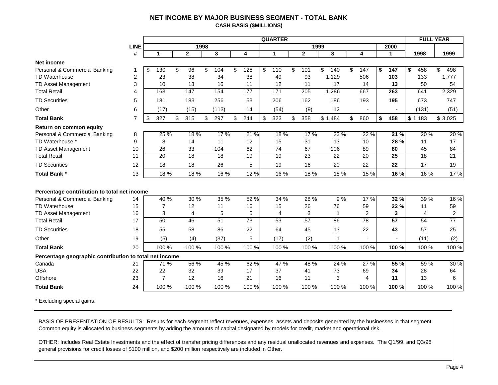#### **NET INCOME BY MAJOR BUSINESS SEGMENT - TOTAL BANK CASH BASIS (\$MILLIONS)**

<span id="page-5-0"></span>

|                                                        |                |                |              |      |       |                 | <b>QUARTER</b> |                 |      |                 |           |                 |                 | <b>FULL YEAR</b> |                 |
|--------------------------------------------------------|----------------|----------------|--------------|------|-------|-----------------|----------------|-----------------|------|-----------------|-----------|-----------------|-----------------|------------------|-----------------|
|                                                        | <b>LINE</b>    |                |              | 1998 |       |                 |                |                 | 1999 |                 |           | 2000            |                 |                  |                 |
|                                                        | #              | 1              | $\mathbf{2}$ |      | 3     | 4               | 1              | $\mathbf{2}$    |      | 3               | 4         | 1               | 1998            |                  | 1999            |
| Net income                                             |                |                |              |      |       |                 |                |                 |      |                 |           |                 |                 |                  |                 |
| Personal & Commercial Banking                          | 1              | \$<br>130      | \$<br>96     | \$   | 104   | \$<br>128       | \$<br>110      | \$<br>101       | \$   | 140             | \$<br>147 | \$<br>147       | \$<br>458       |                  | 498<br>\$.      |
| <b>TD Waterhouse</b>                                   | $\overline{c}$ | 23             | 38           |      | 34    | 38              | 49             | 93              |      | 1,129           | 506       | 103             | 133             |                  | 1,777           |
| TD Asset Management                                    | 3              | 10             | 13           |      | 16    | 11              | 12             | 11              |      | 17              | 14        | 13              | 50              |                  | 54              |
| <b>Total Retail</b>                                    | 4              | 163            | 147          |      | 154   | 177             | 171            | 205             |      | 1,286           | 667       | 263             | 641             |                  | 2,329           |
| <b>TD Securities</b>                                   | 5              | 181            | 183          |      | 256   | 53              | 206            | 162             |      | 186             | 193       | 195             | 673             |                  | 747             |
| Other                                                  | 6              | (17)           | (15)         |      | (113) | 14              | (54)           | (9)             |      | 12              |           |                 | (131)           |                  | (51)            |
| <b>Total Bank</b>                                      | $\overline{7}$ | \$<br>327      | \$<br>315    | \$   | 297   | \$<br>244       | \$<br>323      | \$<br>358       |      | \$1,484         | \$<br>860 | \$<br>458       | \$1,183         |                  | \$3,025         |
| Return on common equity                                |                |                |              |      |       |                 |                |                 |      |                 |           |                 |                 |                  |                 |
| Personal & Commercial Banking                          | 8              | 25 %           | 18 %         |      | 17%   | 21%             | 18%            | 17%             |      | 23 %            | 22 %      | 21 %            |                 | 20 %             | 20%             |
| TD Waterhouse *                                        | 9              | 8              | 14           |      | 11    | 12              | 15             | 31              |      | 13              | 10        | 28 %            | 11              |                  | 17              |
| TD Asset Management                                    | 10             | 26             | 33           |      | 104   | 62              | 74             | 67              |      | 106             | 89        | 80              | 45              |                  | 84              |
| <b>Total Retail</b>                                    | 11             | 20             | 18           |      | 18    | 19              | 19             | 23              |      | $\overline{22}$ | 20        | $\overline{25}$ | $\overline{18}$ |                  | 21              |
| <b>TD Securities</b>                                   | 12             | 18             | 18           |      | 26    | 5               | 19             | 16              |      | 20              | 22        | 22              | 17              |                  | 19              |
| <b>Total Bank*</b>                                     | 13             | 18 %           | 18 %         |      | 16 %  | 12 %            | 16 %           | 18 %            |      | 18 %            | 15 %      | 16 %            |                 | 16 %             | 17%             |
|                                                        |                |                |              |      |       |                 |                |                 |      |                 |           |                 |                 |                  |                 |
| Percentage contribution to total net income            |                |                |              |      |       |                 |                |                 |      |                 |           |                 |                 |                  |                 |
| Personal & Commercial Banking                          | 14             | 40 %           | 30 %         |      | 35 %  | 52 %            | 34 %           | 28 %            |      | 9%              | 17 %      | 32 %            |                 | 39 %             | 16 %            |
| <b>TD Waterhouse</b>                                   | 15             | 7              | 12           |      | 11    | 16              | 15             | 26              |      | 76              | 59        | 22 %            | 11              |                  | 59              |
| TD Asset Management                                    | 16             | 3              | 4            |      | 5     | 5               | $\overline{4}$ | 3               |      | $\mathbf{1}$    | 2         | 3               | 4               |                  | $\overline{c}$  |
| <b>Total Retail</b>                                    | 17             | 50             | 46           |      | 51    | $\overline{73}$ | 53             | $\overline{57}$ |      | 86              | 78        | 57              | 54              |                  | $\overline{77}$ |
| <b>TD Securities</b>                                   | 18             | 55             | 58           |      | 86    | 22              | 64             | 45              |      | 13              | 22        | 43              | 57              |                  | 25              |
| Other                                                  | 19             | (5)            | (4)          |      | (37)  | 5               | (17)           | (2)             |      | 1               |           |                 | (11)            |                  | (2)             |
| <b>Total Bank</b>                                      | 20             | 100 %          | 100 %        |      | 100 % | 100 %           | 100 %          | 100 %           |      | 100 %           | 100 %     | 100 %           |                 | 100 %            | 100 %           |
| Percentage geographic contribution to total net income |                |                |              |      |       |                 |                |                 |      |                 |           |                 |                 |                  |                 |
| Canada                                                 | 21             | 71 %           | 56 %         |      | 45 %  | 62%             | 47 %           | 48 %            |      | 24 %            | 27 %      | 55 %            |                 | 59 %             | 30 %            |
| <b>USA</b>                                             | 22             | 22             | 32           |      | 39    | 17              | 37             | 41              |      | 73              | 69        | 34              | 28              |                  | 64              |
| Offshore                                               | 23             | $\overline{7}$ | 12           |      | 16    | 21              | 16             | 11              |      | 3               | 4         | 11              | 13              |                  | 6               |
| <b>Total Bank</b>                                      | 24             | 100 %          | 100 %        |      | 100 % | 100 %           | 100 %          | 100 %           |      | 100 %           | 100 %     | 100 %           |                 | 100 %            | 100 %           |

\* Excluding special gains.

BASIS OF PRESENTATION OF RESULTS: Results for each segment reflect revenues, expenses, assets and deposits generated by the businesses in that segment. Common equity is allocated to business segments by adding the amounts of capital designated by models for credit, market and operational risk.

OTHER: Includes Real Estate Investments and the effect of transfer pricing differences and any residual unallocated revenues and expenses. The Q1/99, and Q3/98 general provisions for credit losses of \$100 million, and \$200 million respectively are included in Other.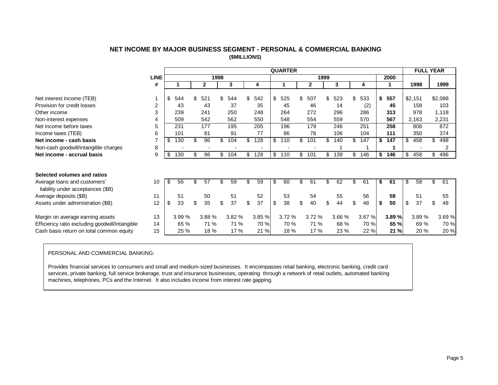| NET INCOME BY MAJOR BUSINESS SEGMENT - PERSONAL & COMMERCIAL BANKING |  |
|----------------------------------------------------------------------|--|
| (\$MILLIONS)                                                         |  |

<span id="page-6-0"></span>

|                                                |                |           |                       |      |        |           | <b>QUARTER</b> |           |      |        |     |        |    |       | <b>FULL YEAR</b> |          |
|------------------------------------------------|----------------|-----------|-----------------------|------|--------|-----------|----------------|-----------|------|--------|-----|--------|----|-------|------------------|----------|
|                                                | <b>LINE</b>    |           |                       | 1998 |        |           |                |           | 1999 |        |     |        |    | 2000  |                  |          |
|                                                | #              |           | $\mathbf{2}$          |      | 3      | 4         |                | 2         |      | 3      |     | 4      |    |       | 1998             | 1999     |
|                                                |                |           |                       |      |        |           |                |           |      |        |     |        |    |       |                  |          |
| Net interest income (TEB)                      |                | 544<br>\$ | \$<br>521             | \$   | 544    | \$<br>542 | \$<br>525      | \$<br>507 | \$   | 523    | \$  | 533    | \$ | 557   | \$2,151          | \$2,088  |
| Provision for credit losses                    | $\overline{2}$ | 43        | 43                    |      | 37     | 35        | 45             | 46        |      | 14     |     | (2)    |    | 45    | 158              | 103      |
| Other income                                   | 3              | 239       | 241                   |      | 250    | 248       | 264            | 272       |      | 296    |     | 286    |    | 313   | 978              | 1,118    |
| Non-interest expenses                          | 4              | 509       | 542                   |      | 562    | 550       | 548            | 554       |      | 559    |     | 570    |    | 567   | 2,163            | 2,231    |
| Net income before taxes                        | 5              | 231       | 177                   |      | 195    | 205       | 196            | 179       |      | 246    |     | 251    |    | 258   | 808              | 872      |
| Income taxes (TEB)                             | 6              | 101       | 81                    |      | 91     | 77        | 86             | 78        |      | 106    |     | 104    |    | 111   | 350              | 374      |
| Net income - cash basis                        |                | \$<br>130 | \$<br>96              | \$   | 104    | \$<br>128 | \$<br>110      | \$<br>101 | \$   | 140    | \$  | 147    | \$ | 147   | \$<br>458        | 498      |
| Non-cash goodwill/intangible charges           | 8              |           |                       |      |        |           |                |           |      |        |     |        |    |       |                  | 2        |
| Net income - accrual basis                     | 9              | 130<br>S  | \$<br>$\overline{96}$ | \$   | 104    | \$<br>128 | \$<br>110      | \$<br>101 | \$   | 139    | \$. | 146    | \$ | 146   | \$<br>458        | 496      |
|                                                |                |           |                       |      |        |           |                |           |      |        |     |        |    |       |                  |          |
|                                                |                |           |                       |      |        |           |                |           |      |        |     |        |    |       |                  |          |
| Selected volumes and ratios                    |                |           |                       |      |        |           |                |           |      |        |     |        |    |       |                  |          |
| Average loans and customers'                   | 10             | 56<br>\$  | \$<br>57              | \$   | 59     | \$<br>59  | \$<br>60       | \$<br>61  | \$   | 62     | \$  | 61     | S. | 61    | \$<br>58         | \$<br>61 |
| liability under acceptances (\$B)              |                |           |                       |      |        |           |                |           |      |        |     |        |    |       |                  |          |
| Average deposits (\$B)                         | 11             | 51        | 50                    |      | 51     | 52        | 53             | 54        |      | 55     |     | 56     |    | 58    | 51               | 55       |
| Assets under administration (\$B)              | 12             | 33<br>\$  | \$<br>35              | \$   | 37     | \$<br>37  | \$<br>38       | \$<br>40  | \$   | 44     | \$  | 48     | \$ | 50    | \$<br>37         | 48       |
|                                                |                |           |                       |      |        |           |                |           |      |        |     |        |    |       |                  |          |
| Margin on average earning assets               | 13             | 3.99 %    | 3.88 %                |      | 3.82 % | 3.85 %    | 3.72 %         | 3.72 %    |      | 3.66 % |     | 3.67 % |    | 3.89% | 3.89 %           | 3.69%    |
| Efficiency ratio excluding goodwill/intangible | 14             | 65 %      | 71 %                  |      | 71 %   | 70 %      | 70 %           | 71 %      |      | 68 %   |     | 70 %   |    | 65 %  | 69 %             | 70 %     |
| Cash basis return on total common equity       | 15             | 25 %      | 18 %                  |      | 17 %   | 21 %      | 18 %           | 17 %      |      | 23 %   |     | 22 %   |    | 21 %  | 20 %             | 20 %     |

#### PERSONAL AND COMMERCIAL BANKING:

Provides financial services to consumers and small and medium-sized businesses. It encompasses retail banking, electronic banking, credit card services, private banking, full service brokerage, trust and insurance businesses, operating through a network of retail outlets, automated banking machines, telephones, PCs and the Internet. It also includes income from interest rate gapping.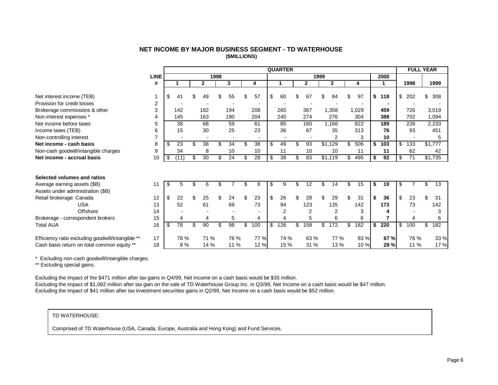| NET INCOME BY MAJOR BUSINESS SEGMENT - TD WATERHOUSE |
|------------------------------------------------------|
| (\$MILLIONS)                                         |

<span id="page-7-0"></span>

|                                                   |             |     |                 |     |                 |      |                 |                |    | <b>QUARTER</b> |     |                |    |                 |           |    |      |              | <b>FULL YEAR</b> |     |         |
|---------------------------------------------------|-------------|-----|-----------------|-----|-----------------|------|-----------------|----------------|----|----------------|-----|----------------|----|-----------------|-----------|----|------|--------------|------------------|-----|---------|
|                                                   | <b>LINE</b> |     |                 |     |                 | 1998 |                 |                |    |                |     | 1999           |    |                 |           |    | 2000 |              |                  |     |         |
|                                                   | #           |     |                 |     | $\mathbf{2}$    |      | 3               | 4              |    | 1              |     | $\mathbf{2}$   |    | 3               | 4         |    |      |              | 1998             |     | 1999    |
| Net interest income (TEB)                         |             | \$  | 41              |     | 49              | ж    | 55              | \$<br>57       | \$ | 60             |     | 67             | S  | 84              | \$<br>97  | \$ | 118  | \$           | 202              | \$  | 308     |
| Provision for credit losses                       | 2           |     |                 |     |                 |      |                 |                |    |                |     |                |    |                 |           |    |      |              |                  |     |         |
| Brokerage commissions & other                     | 3           |     | 142             |     | 182             |      | 194             | 208            |    | 265            |     | 367            |    | 1,358           | 1,029     |    | 459  |              | 726              |     | 3,019   |
| Non-interest expenses *                           | 4           |     | 145             |     | 163             |      | 190             | 204            |    | 240            |     | 274            |    | 276             | 304       |    | 388  |              | 702              |     | 1,094   |
| Net income before taxes                           | 5           |     | 38              |     | 68              |      | 59              | 61             |    | 85             |     | 160            |    | 1,166           | 822       |    | 189  |              | 226              |     | 2,233   |
| Income taxes (TEB)                                | 6           |     | 15              |     | 30              |      | 25              | 23             |    | 36             |     | 67             |    | 35              | 313       |    | 76   |              | 93               |     | 451     |
| Non-controlling interest                          |             |     |                 |     |                 |      |                 |                |    |                |     |                |    | $\overline{2}$  | 3         |    | 10   |              |                  |     | 5       |
| Net income - cash basis                           | 8           | \$  | 23              |     | $\overline{38}$ | \$   | 34              | \$<br>38       | S. | 49             | \$  | 93             |    | $\sqrt{$1,129}$ | \$<br>506 | \$ | 103  | \$           | 133              |     | \$1,777 |
| Non-cash goodwill/intangible charges              | 9           |     | 34              |     | 8               |      | 10              | 10             |    | 11             |     | 10             |    | 10              | 11        |    | 11   |              | 62               |     | 42      |
| Net income - accrual basis                        | 10          | \$  | (11)            | \$  | 30              | \$   | 24              | \$<br>28       | \$ | 38             | \$  | 83             |    | \$1,119         | \$<br>495 | \$ | 92   | \$           | 71               |     | \$1,735 |
|                                                   |             |     |                 |     |                 |      |                 |                |    |                |     |                |    |                 |           |    |      |              |                  |     |         |
| Selected volumes and ratios                       |             |     |                 |     |                 |      |                 |                |    |                |     |                |    |                 |           |    |      |              |                  |     |         |
| Average earning assets (\$B)                      | 11          | \$. | 5               | \$. | 6               | \$   |                 | \$<br>8        | \$ | 9              | \$. | 12             | \$ | 14              | \$<br>15  | S  | 19   | \$           |                  | \$. | 13      |
| Assets under administration (\$B)                 |             |     |                 |     |                 |      |                 |                |    |                |     |                |    |                 |           |    |      |              |                  |     |         |
| Retail brokerage: Canada                          | 12          | \$  | 22              |     | 25              | \$   | 24              | \$<br>23       | \$ | 26             | \$  | 28             | \$ | 29              | \$<br>31  | \$ | 36   | \$           | 23               | \$  | 31      |
| <b>USA</b>                                        | 13          |     | 52              |     | 61              |      | 69              | 73             |    | 94             |     | 123            |    | 135             | 142       |    | 173  |              | 73               |     | 142     |
| Offshore                                          | 14          |     |                 |     |                 |      |                 |                |    | 2              |     | $\overline{2}$ |    | $\overline{2}$  | 3         |    | 4    |              |                  |     | 3       |
| Brokerage - correspondent brokers                 | 15          |     | 4               |     | 4               |      | 5               | $\overline{4}$ |    | 4              |     | 5              |    | 6               | 6         |    | 7    |              | 4                |     | 6       |
| <b>Total AUA</b>                                  | 16          | \$  | $\overline{78}$ | \$  | 90              | \$   | $\overline{98}$ | \$<br>100      | \$ | 126            | \$  | 158            | \$ | 172             | \$<br>182 | \$ | 220  | $\mathbb{S}$ | 100              | \$  | 182     |
| Efficiency ratio excluding goodwill/intangible ** | 17          |     | 78 %            |     | 71 %            |      | 76 %            | 77 %           |    | 74 %           |     | 63 %           |    | 77 %            | 83 %      |    | 67 % |              | 76 %             |     | 33 %    |
| Cash basis return on total common equity **       | 18          |     | 8%              |     | 14 %            |      | 11 %            | 12 %           |    | 15 %           |     | 31 %           |    | 13 %            | 10 %      |    | 28 % |              | 11 %             |     | 17 %    |

\* Excluding non-cash goodwill/intangible charges.

\*\* Excluding special gains.

Excluding the impact of the \$471 million after tax gains in Q4/99, Net Income on a cash basis would be \$35 million. Excluding the impact of \$1,082 million after tax gain on the sale of TD Waterhouse Group Inc. in Q3/99, Net Income on a cash basis would be \$47 million. Excluding the impact of \$41 million after tax investment securities gains in Q2/99, Net Income on a cash basis would be \$52 million.

#### TD WATERHOUSE:

Comprised of TD Waterhouse (USA, Canada, Europe, Australia and Hong Kong) and Fund Services.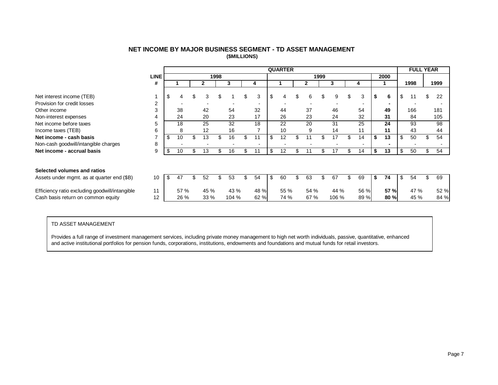| NET INCOME BY MAJOR BUSINESS SEGMENT - TD ASSET MANAGEMENT |
|------------------------------------------------------------|
| (\$MILLIONS)                                               |

<span id="page-8-0"></span>

|                                                |             |          |    |      |      |       |    |                | <b>QUARTER</b> |    |      |      |       |    |      |    |      |    | <b>FULL YEAR</b> |     |      |
|------------------------------------------------|-------------|----------|----|------|------|-------|----|----------------|----------------|----|------|------|-------|----|------|----|------|----|------------------|-----|------|
|                                                | <b>LINE</b> |          |    |      | 1998 |       |    |                |                |    |      | 1999 |       |    |      |    | 2000 |    |                  |     |      |
|                                                | #           |          |    | 2    |      | 3     |    | 4              |                |    |      |      | 3     |    | 4    |    |      |    | 1998             |     | 1999 |
|                                                |             |          |    |      |      |       |    |                |                |    |      |      |       |    |      |    |      |    |                  |     |      |
| Net interest income (TEB)                      |             | \$       |    | 3    |      |       | \$ | 3              | \$<br>4        |    | 6    | \$   | 9     | \$ | 3    |    | 6    | \$ |                  |     | 22   |
| Provision for credit losses                    | 2           |          |    |      |      |       |    | $\blacksquare$ |                |    |      |      |       |    |      |    |      |    |                  |     |      |
| Other income                                   | 3           | 38       |    | 42   |      | 54    |    | 32             | 44             |    | 37   |      | 46    |    | 54   |    | 49   |    | 166              |     | 181  |
| Non-interest expenses                          | 4           | 24       |    | 20   |      | 23    |    | 17             | 26             |    | 23   |      | 24    |    | 32   |    | 31   |    | 84               |     | 105  |
| Net income before taxes                        | 5           | 18       |    | 25   |      | 32    |    | 18             | 22             |    | 20   |      | 31    |    | 25   |    | 24   |    | 93               |     | 98   |
| Income taxes (TEB)                             | 6           | 8        |    | 12   |      | 16    |    | ⇁              | 10             |    | 9    |      | 14    |    | 11   |    | 11   |    | 43               |     | 44   |
| Net income - cash basis                        | ⇁           | \$<br>10 | \$ | 13   | \$   | 16    | S. | 11             | \$<br>12       | \$ | 11   | \$.  | 17    |    | 14   | \$ | 13   | \$ | 50               | \$. | 54   |
| Non-cash goodwill/intangible charges           | 8           |          |    |      |      |       |    | $\blacksquare$ |                |    |      |      |       |    |      |    |      |    |                  |     |      |
| Net income - accrual basis                     | 9           | \$<br>10 |    | 13   | \$   | 16    |    | 11             | \$<br>12       | S  |      |      | 17    |    | 14   | \$ | 13   | S  | 50               |     | 54   |
|                                                |             |          |    |      |      |       |    |                |                |    |      |      |       |    |      |    |      |    |                  |     |      |
|                                                |             |          |    |      |      |       |    |                |                |    |      |      |       |    |      |    |      |    |                  |     |      |
| Selected volumes and ratios                    |             |          |    |      |      |       |    |                |                |    |      |      |       |    |      |    |      |    |                  |     |      |
| Assets under mgmt. as at quarter end (\$B)     | 10          | \$<br>47 | S. | 52   | \$.  | 53    | S. | 54             | \$<br>60       | .ፍ | 63   | \$.  | 67    | ж  | 69   | S  | 74   | \$ | 54               | \$. | 69   |
|                                                |             |          |    |      |      |       |    |                |                |    |      |      |       |    |      |    |      |    |                  |     |      |
| Efficiency ratio excluding goodwill/intangible | 11          | 57 %     |    | 45 % |      | 43 %  |    | 48 %           | 55 %           |    | 54 % |      | 44 %  |    | 56 % |    | 57 % |    | 47 %             |     | 52 % |
| Cash basis return on common equity             | 12          | 26 %     |    | 33 % |      | 104 % |    | 62 %           | 74 %           |    | 67 % |      | 106 % |    | 89 % |    | 80 % |    | 45 %             |     | 84 % |

#### TD ASSET MANAGEMENT

Provides a full range of investment management services, including private money management to high net worth individuals, passive, quantitative, enhanced and active institutional portfolios for pension funds, corporations, institutions, endowments and foundations and mutual funds for retail investors.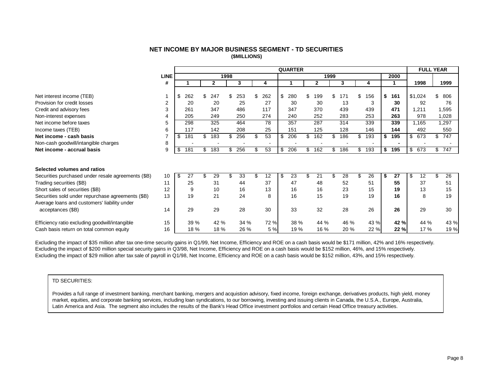#### **NET INCOME BY MAJOR BUSINESS SEGMENT - TD SECURITIES (\$MILLIONS)**

<span id="page-9-0"></span>

|                                                    |             |           |     |              |      |      |     |      |      | <b>QUARTER</b> |              |      |      |     |      |    |      |     | <b>FULL YEAR</b> |           |
|----------------------------------------------------|-------------|-----------|-----|--------------|------|------|-----|------|------|----------------|--------------|------|------|-----|------|----|------|-----|------------------|-----------|
|                                                    | <b>LINE</b> |           |     |              | 1998 |      |     |      |      |                |              | 1999 |      |     |      |    | 2000 |     |                  |           |
|                                                    | #           |           |     | $\mathbf{2}$ |      | 3    |     | 4    |      |                | $\mathbf{2}$ |      | 3    |     |      |    |      |     | 1998             | 1999      |
|                                                    |             |           |     |              |      |      |     |      |      |                |              |      |      |     |      |    |      |     |                  |           |
| Net interest income (TEB)                          |             | \$<br>262 | \$  | 247          | \$   | 253  | \$  | 262  | \$   | 280            | \$<br>199    | \$   | 171  | \$  | 156  | \$ | 161  |     | \$1,024          | 806       |
| Provision for credit losses                        | 2           | 20        |     | 20           |      | 25   |     | 27   |      | 30             | 30           |      | 13   |     | 3    |    | 30   |     | 92               | 76        |
| Credit and advisory fees                           | 3           | 261       |     | 347          |      | 486  |     | 117  |      | 347            | 370          |      | 439  |     | 439  |    | 471  |     | 1,211            | 1,595     |
| Non-interest expenses                              |             | 205       |     | 249          |      | 250  |     | 274  |      | 240            | 252          |      | 283  |     | 253  |    | 263  |     | 978              | 1,028     |
| Net income before taxes                            | 5           | 298       |     | 325          |      | 464  |     | 78   |      | 357            | 287          |      | 314  |     | 339  |    | 339  |     | 1,165            | 1,297     |
| Income taxes (TEB)                                 | 6           | 117       |     | 142          |      | 208  |     | 25   |      | 151            | 125          |      | 128  |     | 146  |    | 144  |     | 492              | 550       |
| Net income - cash basis                            |             | \$<br>181 | \$  | 183          |      | 256  |     | 53   | \$   | 206            | \$<br>162    |      | 186  | \$  | 193  | S  | 195  | \$  | 673              | \$<br>747 |
| Non-cash goodwill/intangible charges               | 8           |           |     |              |      |      |     |      |      |                |              |      |      |     |      |    |      |     |                  |           |
| Net income - accrual basis                         | 9           | \$<br>181 | \$  | 183          | \$   | 256  | \$. | 53   | \$   | 206            | \$<br>162    | \$   | 186  | \$  | 193  | \$ | 195  | \$  | 673              | \$<br>747 |
|                                                    |             |           |     |              |      |      |     |      |      |                |              |      |      |     |      |    |      |     |                  |           |
| Selected volumes and ratios                        |             |           |     |              |      |      |     |      |      |                |              |      |      |     |      |    |      |     |                  |           |
| Securities purchased under resale agreements (\$B) | 10          | \$<br>27  | \$. | 29           | \$   | 33   |     | 12   | - \$ | 23             | \$<br>21     |      | 28   | \$. | 26   | ä. | 27   | -\$ | 12               | 26        |
| Trading securities (\$B)                           | 11          | 25        |     | 31           |      | 44   |     | 37   |      | 47             | 48           |      | 52   |     | 51   |    | 55   |     | 37               | 51        |
| Short sales of securities (\$B)                    | 12          | 9         |     | 10           |      | 16   |     | 13   |      | 16             | 16           |      | 23   |     | 15   |    | 19   |     | 13               | 15        |
| Securities sold under repurchase agreements (\$B)  | 13          | 19        |     | 21           |      | 24   |     | 8    |      | 16             | 15           |      | 19   |     | 19   |    | 16   |     | 8                | 19        |
| Average loans and customers' liability under       |             |           |     |              |      |      |     |      |      |                |              |      |      |     |      |    |      |     |                  |           |
| acceptances (\$B)                                  | 14          | 29        |     | 29           |      | 28   |     | 30   |      | 33             | 32           |      | 28   |     | 26   |    | 26   |     | 29               | 30        |
| Efficiency ratio excluding goodwill/intangible     | 15          | 39 %      |     | 42 %         |      | 34 % |     | 72 % |      | 38 %           | 44 %         |      | 46 % |     | 43 % |    | 42 % |     | 44 %             | 43 %      |
| Cash basis return on total common equity           | 16          | 18 %      |     | 18 %         |      | 26 % |     | 5 %  |      | 19 %           | 16 %         |      | 20 % |     | 22 % |    | 22 % |     | 17 %             | 19 %      |

Excluding the impact of \$35 million after tax one-time security gains in Q1/99, Net Income, Efficiency and ROE on a cash basis would be \$171 million, 42% and 16% respectively. Excluding the impact of \$200 million special security gains in Q3/98, Net Income, Efficiency and ROE on a cash basis would be \$152 million, 46%, and 15% respectively. Excluding the impact of \$29 million after tax sale of payroll in Q1/98, Net Income, Efficiency and ROE on a cash basis would be \$152 million, 43%, and 15% respectively.

#### TD SECURITIES:

Provides a full range of investment banking, merchant banking, mergers and acquistion advisory, fixed income, foreign exchange, derivatives products, high yield, money market, equities, and corporate banking services, including loan syndications, to our borrowing, investing and issuing clients in Canada, the U.S.A., Europe, Australia, Latin America and Asia. The segment also includes the results of the Bank's Head Office investment portfolios and certain Head Office treasury activities.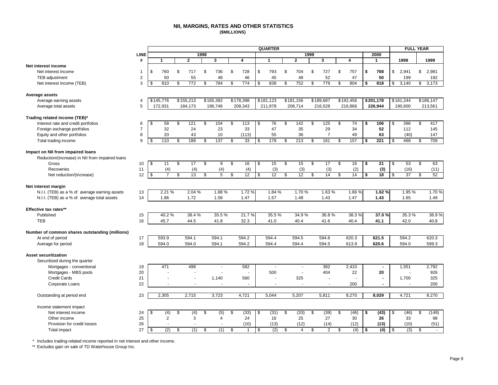#### **NII, MARGINS, RATES AND OTHER STATISTICS (\$MILLIONS)**

<span id="page-10-0"></span>

|                                                 |                |            |                |                          |      |                |               |                    |                          | <b>QUARTER</b>           |                       |      |                          |            |    |                          | <b>FULL YEAR</b>      |               |           |
|-------------------------------------------------|----------------|------------|----------------|--------------------------|------|----------------|---------------|--------------------|--------------------------|--------------------------|-----------------------|------|--------------------------|------------|----|--------------------------|-----------------------|---------------|-----------|
|                                                 | <b>LINE</b>    |            |                |                          | 1998 |                |               |                    |                          |                          |                       | 1999 |                          |            |    | 2000                     |                       |               |           |
|                                                 | #              | 1          |                | $\mathbf{2}$             |      | 3              |               | 4                  |                          | $\mathbf{1}$             | $\overline{2}$        |      | 3                        | 4          |    | 1                        | 1998                  |               | 1999      |
| Net interest income                             |                |            |                |                          |      |                |               |                    |                          |                          |                       |      |                          |            |    |                          |                       |               |           |
| Net interest income                             | -1             | \$<br>760  |                | \$<br>717                | \$   | 736            | \$            | 728                | \$                       | 793                      | \$<br>704             | \$   | 727                      | \$<br>757  | \$ | 768                      | \$<br>2,941           | \$            | 2,981     |
| TEB adjustment                                  | $\overline{2}$ | 50         |                | 55                       |      | 48             |               | 46                 |                          | 45                       | 48                    |      | 52                       | 47         |    | 50                       | 199                   |               | 192       |
| Net interest income (TEB)                       | 3              | \$<br>810  |                | 772<br>\$                | \$   | 784            | \$            | 774                | \$                       | 838                      | \$<br>752             | \$   | 779                      | \$<br>804  | \$ | 818                      | \$<br>3,140           | \$            | 3,173     |
| Average assets                                  |                |            |                |                          |      |                |               |                    |                          |                          |                       |      |                          |            |    |                          |                       |               |           |
| Average earning assets                          | $\overline{4}$ | \$145,776  |                | \$155,213                |      | \$165,392      |               | \$178,398          |                          | \$181,123                | \$181,156             |      | \$189,687                | \$192,456  |    | \$201,178                | \$161,244             |               | \$186,147 |
| Average total assets                            | 5              | 172,931    |                | 184,173                  |      | 196,746        |               | 208,343            |                          | 211,978                  | 208,714               |      | 216,528                  | 216,866    |    | 226,944                  | 190,600               |               | 213,561   |
| Trading related income (TEB)*                   |                |            |                |                          |      |                |               |                    |                          |                          |                       |      |                          |            |    |                          |                       |               |           |
| Interest rate and credit portfolios             | 6              | \$<br>58   |                | \$<br>121                | \$   | 104            | \$            | 113                | \$                       | 76                       | \$<br>142             | \$   | 125                      | \$<br>74   | S. | 106                      | \$<br>396             | \$            | 417       |
| Foreign exchange portfolios                     | $\overline{7}$ | 32         |                | 24                       |      | 23             |               | 33                 |                          | 47                       | 35                    |      | 29                       | 34         |    | 52                       | 112                   |               | 145       |
| Equity and other portfolios                     | 8              | 20         |                | 43                       |      | 10             |               | (113)              |                          | 55                       | 36                    |      | $\overline{7}$           | 49         |    | 63                       | (40)                  |               | 147       |
| Total trading income                            | 9              | 110<br>\$  |                | 188<br>\$                | \$   | 137            | \$            | 33                 | \$.                      | 178                      | \$<br>213             | \$   | 161                      | \$<br>157  | -9 | 221                      | \$<br>468             | \$            | 709       |
|                                                 |                |            |                |                          |      |                |               |                    |                          |                          |                       |      |                          |            |    |                          |                       |               |           |
| Impact on NII from impaired loans               |                |            |                |                          |      |                |               |                    |                          |                          |                       |      |                          |            |    |                          |                       |               |           |
| Reduction/(increase) in NII from impaired loans |                |            |                |                          |      |                |               |                    |                          |                          |                       |      |                          |            |    |                          |                       |               |           |
| Gross                                           | 10             | s,<br>11   |                | S<br>17                  | \$   | $\overline{9}$ | $\mathsf{\$}$ | 16                 | \$                       | 15                       | \$<br>15              | s,   | $\overline{17}$          | \$<br>16   | \$ | 21                       | \$<br>53              | $\mathsf{\$}$ | 63        |
| Recoveries                                      | 11             |            | (4)            | (4)                      |      | (4)            |               | (4)                |                          | (3)                      | (3)                   |      | (3)                      | (2)        |    | (3)                      | (16)                  |               | (11)      |
| Net reduction/(increase)                        | 12             | $\sqrt{3}$ | $\overline{7}$ | \$<br>13                 | \$   | $\overline{5}$ | \$            | 12                 | $\overline{\mathcal{S}}$ | $\overline{12}$          | \$<br>12              | S,   | 14                       | \$<br>14   | S, | $\overline{18}$          | \$<br>$\overline{37}$ | s,            | 52        |
| Net interest margin                             |                |            |                |                          |      |                |               |                    |                          |                          |                       |      |                          |            |    |                          |                       |               |           |
| N.I.I. (TEB) as a % of average earning assets   | 13             |            | 2.21 %         | 2.04 %                   |      | 1.88%          |               | 1.72%              |                          | 1.84 %                   | 1.70%                 |      | 1.63%                    | 1.66%      |    | 1.62%                    | 1.95%                 |               | 1.70%     |
| N.I.I. (TEB) as a % of average total assets     | 14             | 1.86       |                | 1.72                     |      | 1.58           |               | 1.47               |                          | 1.57                     | 1.48                  |      | 1.43                     | 1.47       |    | 1.43                     | 1.65                  |               | 1.49      |
| Effective tax rates**                           |                |            |                |                          |      |                |               |                    |                          |                          |                       |      |                          |            |    |                          |                       |               |           |
| Published                                       | 15             |            | 40.2%          | 38.4%                    |      | 35.5%          |               | 21.7%              |                          | 35.5 %                   | 34.9%                 |      | 36.8%                    | 38.3%      |    | 37.0%                    | 35.3%                 |               | 36.9%     |
| <b>TEB</b>                                      | 16             | 45.7       |                | 44.5                     |      | 41.8           |               | 32.3               |                          | 41.0                     | 40.4                  |      | 41.6                     | 40.4       |    | 41.1                     | 42.0                  |               | 40.8      |
| Number of common shares outstanding (millions)  |                |            |                |                          |      |                |               |                    |                          |                          |                       |      |                          |            |    |                          |                       |               |           |
| At end of period                                | 17             | 593.9      |                | 594.1                    |      | 594.1          |               | $\overline{594.2}$ |                          | 594.4                    | 594.5                 |      | 594.6                    | 620.3      |    | 621.5                    | 594.2                 |               | 620.3     |
| Average for period                              | 18             | 594.0      |                | 594.0                    |      | 594.1          |               | 594.2              |                          | 594.4                    | 594.4                 |      | 594.5                    | 613.9      |    | 620.6                    | 594.0                 |               | 599.3     |
|                                                 |                |            |                |                          |      |                |               |                    |                          |                          |                       |      |                          |            |    |                          |                       |               |           |
| <b>Asset securitization</b>                     |                |            |                |                          |      |                |               |                    |                          |                          |                       |      |                          |            |    |                          |                       |               |           |
| Securitized during the quarter                  |                |            |                |                          |      |                |               |                    |                          |                          |                       |      |                          |            |    |                          |                       |               |           |
| Mortgages - conventional                        | 19             | 471        |                | 498                      |      | $\blacksquare$ |               | 582                |                          | $\overline{\phantom{a}}$ | $\tilde{\phantom{a}}$ |      | 382                      | 2,410      |    | $\blacksquare$           | 1,551                 |               | 2,792     |
| Mortgages - MBS pools                           | 20             |            |                |                          |      |                |               | $\sim$             |                          | 500                      | ä,                    |      | 404                      | 22         |    | 20                       | ä,                    |               | 926       |
| <b>Credit Cards</b>                             | 21             |            |                | $\overline{\phantom{a}}$ |      | 1,140          |               | 560                |                          |                          | 325                   |      | $\overline{\phantom{a}}$ |            |    | $\overline{\phantom{a}}$ | 1,700                 |               | 325       |
| Corporate Loans                                 | 22             |            |                |                          |      |                |               |                    |                          |                          |                       |      |                          | 200        |    |                          |                       |               | 200       |
| Outstanding at period end                       | 23             | 2,305      |                | 2,715                    |      | 3,723          |               | 4,721              |                          | 5,044                    | 5,207                 |      | 5,811                    | 8,270      |    | 8.029                    | 4,721                 |               | 8,270     |
| Income statement impact                         |                |            |                |                          |      |                |               |                    |                          |                          |                       |      |                          |            |    |                          |                       |               |           |
| Net interest income                             | 24             | \$         | (4)            | \$<br>(4)                | \$   | (5)            | \$            | (33)               | \$                       | (31)                     | \$<br>(33)            | \$   | (39)                     | \$<br>(46) | \$ | (43)                     | \$<br>(46)            | \$            | (149)     |
| Other income                                    | 25             |            | 2              | 3                        |      | $\overline{4}$ |               | 24                 |                          | 16                       | 25                    |      | 27                       | 30         |    | 26                       | 33                    |               | 98        |
| Provision for credit losses                     | 26             |            |                |                          |      |                |               | (10)               |                          | (13)                     | (12)                  |      | (14)                     | (12)       |    | (13)                     | (10)                  |               | (51)      |
| <b>Total impact</b>                             | 27             | \$         | (2)            | \$<br>(1)                | \$   | (1)            | \$            | $\overline{1}$     | \$                       | (2)                      | \$<br>$\overline{4}$  | \$   | $\overline{2}$           | \$<br>(4)  | \$ | (4)                      | \$<br>(3)             | \$            | ×.        |

\* Includes trading-related income reported in net interest and other income.

\*\* Excludes gain on sale of TD Waterhouse Group Inc.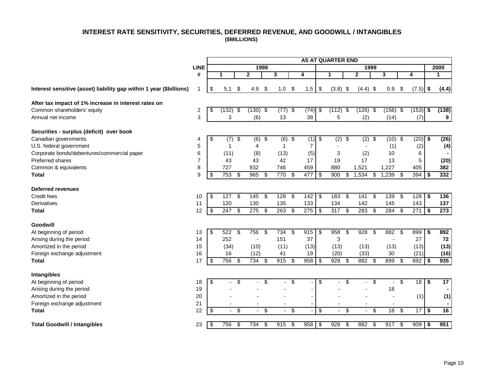## **INTEREST RATE SENSITIVITY, SECURITIES, DEFERRED REVENUE, AND GOODWILL / INTANGIBLES (\$MILLIONS)**

<span id="page-11-0"></span>

|                                                                     |                         |                          |                |                         |                |      |                          |      |                          |                         | <b>AS AT QUARTER END</b> |                                |     |                |     |                 |                |                |
|---------------------------------------------------------------------|-------------------------|--------------------------|----------------|-------------------------|----------------|------|--------------------------|------|--------------------------|-------------------------|--------------------------|--------------------------------|-----|----------------|-----|-----------------|----------------|----------------|
|                                                                     | <b>LINE</b>             |                          |                |                         |                | 1998 |                          |      |                          |                         |                          | 1999                           |     |                |     |                 |                | 2000           |
|                                                                     | #                       |                          | 1.             |                         | $\mathbf{2}$   |      | 3                        |      | 4                        |                         | $\mathbf{1}$             | $\mathbf{2}$                   |     | 3              |     | 4               |                | 1              |
| Interest sensitive (asset) liability gap within 1 year (\$billions) |                         | \$                       | 5.1            | \$                      | 4.9            | -\$  | 1.0                      | \$   | 1.5                      | \$                      | $(3.8)$ \$               | $(4.4)$ \$                     |     | 0.9            | -\$ | $(7.5)$ \$      |                | (4.4)          |
| After tax impact of 1% increase in interest rates on                |                         |                          |                |                         |                |      |                          |      |                          |                         |                          |                                |     |                |     |                 |                |                |
| Common shareholders' equity                                         | $\overline{\mathbf{c}}$ | \$                       | (132)          | \$                      | $(130)$ \$     |      | $(77)$ \$                |      | (74)                     | ∫\$                     | (112)                    | \$<br>(126)                    | -\$ | $(156)$ \$     |     | $(153)$ \$      |                | (138)          |
| Annual net income                                                   | 3                       |                          | 3              |                         | (6)            |      | 13                       |      | 38                       |                         | 5                        | (2)                            |     | (14)           |     | (7)             |                | $9^{\circ}$    |
| Securities - surplus (deficit) over book                            |                         |                          |                |                         |                |      |                          |      |                          |                         |                          |                                |     |                |     |                 |                |                |
| Canadian governments                                                | 4                       | $\overline{\mathcal{G}}$ | (7)            | $\overline{\mathbf{e}}$ | $(6)$ \$       |      | $(6)$ \$                 |      | $(1)$ \$                 |                         | (2)                      | \$<br>(2)                      | \$  | $(10)$ \$      |     | $(20)$ \$       |                | (26)           |
| U.S. federal government                                             | 5                       |                          | $\mathbf 1$    |                         | 4              |      | 1                        |      | 7                        |                         |                          |                                |     | (1)            |     | (2)             |                | (4)            |
| Corporate bonds/debentures/commercial paper                         | 6                       |                          | (11)           |                         | (8)            |      | (13)                     |      | (5)                      |                         | 3                        | (2)                            |     | 10             |     | 6               |                |                |
| Preferred shares                                                    | 7                       |                          | 43             |                         | 43             |      | 42                       |      | 17                       |                         | 19                       | 17                             |     | 13             |     | 5               |                | (20)           |
| Common & equivalents                                                | 8                       |                          | 727            |                         | 932            |      | 746                      |      | 459                      |                         | 880                      | 1,521                          |     | 1,227          |     | 405             |                | 382            |
| <b>Total</b>                                                        | 9                       | \$                       | 753            | \$                      | 965            | -\$  | 770                      | -\$  | 477                      | -\$                     | 900                      | \$<br>1,534                    | \$  | 1,239          | \$  | 394             | \$             | 332            |
| <b>Deferred revenues</b>                                            |                         |                          |                |                         |                |      |                          |      |                          |                         |                          |                                |     |                |     |                 |                |                |
| Credit fees                                                         | 10                      | \$                       | 127            | \$                      | 145            | -\$  | 128                      | -\$  | 142                      | \$                      | 183                      | \$<br>141                      | \$  | 139            | \$  | 128             | \$             | 136            |
| <b>Derivatives</b>                                                  | 11                      |                          | 120            |                         | 130            |      | 135                      |      | 133                      |                         | 134                      | 142                            |     | 145            |     | 143             |                | 137            |
| <b>Total</b>                                                        | 12                      | $\overline{\mathcal{F}}$ | 247            | \$                      | 275            | -\$  | 263                      | \$   | 275                      | $\bm{\theta}$           | 317                      | \$<br>283                      | \$  | 284            | \$  | 271             | $\overline{1}$ | 273            |
| Goodwill                                                            |                         |                          |                |                         |                |      |                          |      |                          |                         |                          |                                |     |                |     |                 |                |                |
| At beginning of period                                              | 13                      | \$                       | 522            | \$                      | 756            | -\$  | 734                      | - \$ | 915                      | -\$                     | 958                      | \$<br>928                      | \$  | 882            | -\$ | 899             | \$             | 892            |
| Arising during the period                                           | 14                      |                          | 252            |                         |                |      | 151                      |      | 37                       |                         | 3                        |                                |     |                |     | 27              |                | 72             |
| Amortized in the period                                             | 15                      |                          | (34)           |                         | (10)           |      | (11)                     |      | (13)                     |                         | (13)                     | (13)                           |     | (13)           |     | (13)            |                | (13)           |
| Foreign exchange adjustment                                         | 16                      |                          | 16             |                         | (12)           |      | 41                       |      | 19                       |                         | (20)                     | (33)                           |     | 30             |     | (21)            |                | (16)           |
| <b>Total</b>                                                        | 17                      | $\sqrt{3}$               | 756            | \$                      | 734            | -\$  | $915$ \$                 |      | 958                      | -\$                     | 928                      | \$<br>882                      | -\$ | 899            | \$  | $892$ \$        |                | 935            |
| Intangibles                                                         |                         |                          |                |                         |                |      |                          |      |                          |                         |                          |                                |     |                |     |                 |                |                |
| At beginning of period                                              | 18                      | \$                       |                | \$                      |                | -\$  | $\overline{\phantom{0}}$ | \$   |                          | \$                      |                          | \$                             | \$  | $\blacksquare$ | \$  | $18$ \$         |                | 17             |
| Arising during the period                                           | 19                      |                          |                |                         |                |      |                          |      |                          |                         |                          |                                |     | 18             |     |                 |                | $\sim$         |
| Amortized in the period                                             | 20                      |                          |                |                         |                |      |                          |      | $\overline{\phantom{a}}$ |                         |                          |                                |     |                |     | (1)             |                | (1)            |
| Foreign exchange adjustment                                         | 21                      |                          |                |                         |                |      |                          |      |                          |                         |                          |                                |     | $\overline{a}$ |     |                 |                | $\blacksquare$ |
| <b>Total</b>                                                        | 22                      | \$                       | $\blacksquare$ | \$                      | $\blacksquare$ | \$   |                          | \$   |                          | \$                      |                          | \$<br>$\overline{\phantom{a}}$ | \$  | 18             | \$  | 17 <sup>1</sup> | \$             | 16             |
| <b>Total Goodwill / Intangibles</b>                                 | 23                      | \$                       | 756            | \$                      | 734            | \$   | 915                      | \$   | 958                      | $\overline{\mathbf{3}}$ | 928                      | \$<br>882                      | \$  | 917            | \$  | $909$ \$        |                | 951            |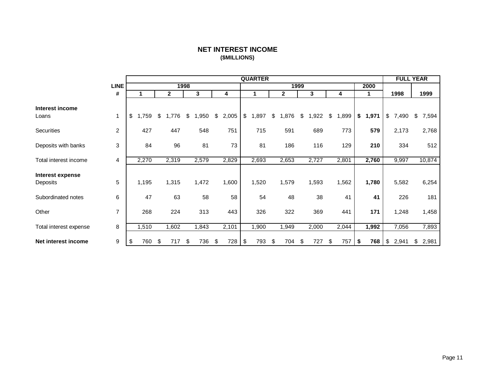## **NET INTEREST INCOME (\$MILLIONS)**

<span id="page-12-0"></span>

|                              |                |             |              |      |       |             | <b>QUARTER</b> |              |      |       |             |             | <b>FULL YEAR</b> |             |
|------------------------------|----------------|-------------|--------------|------|-------|-------------|----------------|--------------|------|-------|-------------|-------------|------------------|-------------|
|                              | <b>LINE</b>    |             |              | 1998 |       |             |                |              | 1999 |       |             | 2000        |                  |             |
|                              | #              |             | $\mathbf{2}$ |      | 3     | 4           | 1              | $\mathbf{2}$ |      | 3     | 4           | 1           | 1998             | 1999        |
| Interest income<br>Loans     | $\mathbf{1}$   | \$<br>1,759 | \$<br>1,776  | \$   | 1,950 | \$<br>2,005 | \$<br>,897     | \$<br>1,876  | \$   | 1,922 | \$<br>1,899 | \$<br>1,971 | \$<br>7,490      | \$<br>7,594 |
| Securities                   | 2              | 427         | 447          |      | 548   | 751         | 715            | 591          |      | 689   | 773         | 579         | 2,173            | 2,768       |
| Deposits with banks          | 3              | 84          | 96           |      | 81    | 73          | 81             | 186          |      | 116   | 129         | 210         | 334              | 512         |
| Total interest income        | 4              | 2,270       | 2,319        |      | 2,579 | 2,829       | 2,693          | 2,653        |      | 2,727 | 2,801       | 2,760       | 9,997            | 10,874      |
| Interest expense<br>Deposits | 5              | 1,195       | 1,315        |      | 1,472 | 1,600       | 1,520          | 1,579        |      | 1,593 | 1,562       | 1,780       | 5,582            | 6,254       |
| Subordinated notes           | 6              | 47          | 63           |      | 58    | 58          | 54             | 48           |      | 38    | 41          | 41          | 226              | 181         |
| Other                        | $\overline{7}$ | 268         | 224          |      | 313   | 443         | 326            | 322          |      | 369   | 441         | 171         | 1,248            | 1,458       |
| Total interest expense       | 8              | 1,510       | 1,602        |      | 1,843 | 2,101       | 1,900          | 1,949        |      | 2,000 | 2,044       | 1,992       | 7,056            | 7,893       |
| Net interest income          | 9              | \$<br>760   | \$<br>717    | \$   | 736   | \$<br>728   | \$<br>793      | \$<br>704    | \$   | 727   | \$<br>757   | \$<br>768   | \$<br>2,941      | \$<br>2,981 |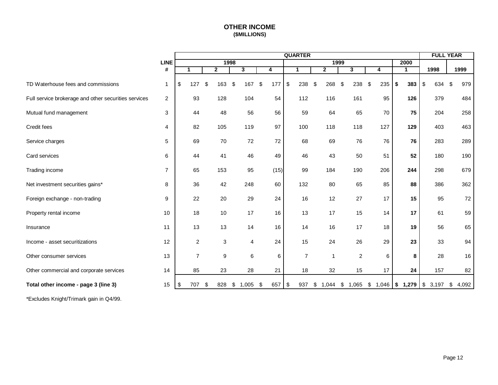## **OTHER INCOME (\$MILLIONS)**

<span id="page-13-0"></span>

|                                                      |                |                |                |      |                         |           | <b>QUARTER</b> |                         |      |                         |                         |                      | <b>FULL YEAR</b> |             |
|------------------------------------------------------|----------------|----------------|----------------|------|-------------------------|-----------|----------------|-------------------------|------|-------------------------|-------------------------|----------------------|------------------|-------------|
|                                                      | <b>LINE</b>    |                |                | 1998 |                         |           |                |                         | 1999 |                         |                         | 2000                 |                  |             |
|                                                      | $\pmb{\#}$     | 1              | $\overline{2}$ |      | $\overline{\mathbf{3}}$ | 4         | 1              | $\overline{2}$          |      | $\overline{\mathbf{3}}$ | $\overline{\mathbf{4}}$ | $\mathbf{1}$         | 1998             | 1999        |
| TD Waterhouse fees and commissions                   | $\mathbf 1$    | \$<br>127      | \$<br>163      | \$   | 167 \$                  | 177       | \$<br>238      | \$<br>268               | \$   | 238                     | \$<br>235               | \$<br>383            | \$<br>634        | -\$<br>979  |
| Full service brokerage and other securities services | 2              | 93             | 128            |      | 104                     | 54        | 112            | 116                     |      | 161                     | 95                      | 126                  | 379              | 484         |
| Mutual fund management                               | 3              | 44             | 48             |      | 56                      | 56        | 59             | 64                      |      | 65                      | 70                      | 75                   | 204              | 258         |
| Credit fees                                          | 4              | 82             | 105            |      | 119                     | 97        | 100            | 118                     |      | 118                     | 127                     | 129                  | 403              | 463         |
| Service charges                                      | 5              | 69             | 70             |      | 72                      | 72        | 68             | 69                      |      | 76                      | 76                      | 76                   | 283              | 289         |
| Card services                                        | 6              | 44             | 41             |      | 46                      | 49        | 46             | 43                      |      | 50                      | 51                      | 52                   | 180              | 190         |
| Trading income                                       | $\overline{7}$ | 65             | 153            |      | 95                      | (15)      | 99             | 184                     |      | 190                     | 206                     | 244                  | 298              | 679         |
| Net investment securities gains*                     | 8              | 36             | 42             |      | 248                     | 60        | 132            | 80                      |      | 65                      | 85                      | 88                   | 386              | 362         |
| Foreign exchange - non-trading                       | 9              | 22             | 20             |      | 29                      | 24        | 16             | 12                      |      | 27                      | 17                      | 15                   | 95               | 72          |
| Property rental income                               | 10             | 18             | 10             |      | 17                      | 16        | 13             | 17                      |      | 15                      | 14                      | 17                   | 61               | 59          |
| Insurance                                            | 11             | 13             | 13             |      | 14                      | 16        | 14             | 16                      |      | 17                      | 18                      | 19                   | 56               | 65          |
| Income - asset securitizations                       | 12             | 2              | 3              |      | $\overline{4}$          | 24        | 15             | 24                      |      | 26                      | 29                      | 23                   | 33               | 94          |
| Other consumer services                              | 13             | $\overline{7}$ | 9              |      | 6                       | 6         | $\overline{7}$ | $\overline{\mathbf{1}}$ |      | $\overline{2}$          | 6                       | 8                    | 28               | 16          |
| Other commercial and corporate services              | 14             | 85             | 23             |      | 28                      | 21        | 18             | 32                      |      | 15                      | 17                      | 24                   | 157              | 82          |
| Total other income - page 3 (line 3)                 | 15             | \$<br>707      | \$<br>828      | \$   | 1,005                   | \$<br>657 | \$<br>937      | \$<br>1,044             | \$   | 1,065                   |                         | $$1,046$ \, \$ 1,279 | \$3,197          | 4,092<br>\$ |

\*Excludes Knight/Trimark gain in Q4/99.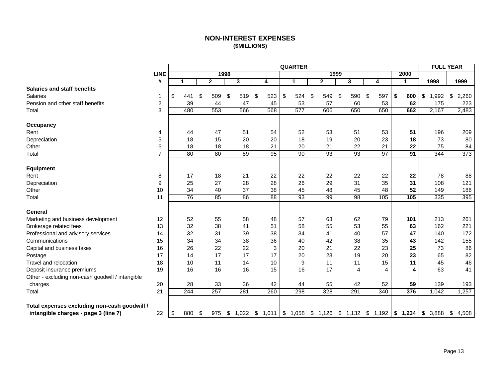## **NON-INTEREST EXPENSES (\$MILLIONS)**

<span id="page-14-0"></span>

|                                                  |                  |    |     |              |      |     |           | <b>QUARTER</b>                                                            |              |           |    |                |           | <b>FULL YEAR</b> |             |
|--------------------------------------------------|------------------|----|-----|--------------|------|-----|-----------|---------------------------------------------------------------------------|--------------|-----------|----|----------------|-----------|------------------|-------------|
|                                                  | <b>LINE</b>      |    |     |              | 1998 |     |           |                                                                           | 1999         |           |    |                | 2000      |                  |             |
|                                                  | #                | 1  |     | $\mathbf{2}$ |      | 3   | 4         | $\mathbf 1$                                                               | $\mathbf{2}$ | 3         | 4  |                | 1         | 1998             | 1999        |
| <b>Salaries and staff benefits</b>               |                  |    |     |              |      |     |           |                                                                           |              |           |    |                |           |                  |             |
| <b>Salaries</b>                                  | 1                | \$ | 441 | \$<br>509    | \$   | 519 | \$<br>523 | \$<br>524                                                                 | \$<br>549    | \$<br>590 | \$ | 597            | \$<br>600 | \$<br>1,992      | 2,260<br>\$ |
| Pension and other staff benefits                 | $\boldsymbol{2}$ |    | 39  | 44           |      | 47  | 45        | 53                                                                        | 57           | 60        |    | 53             | 62        | 175              | 223         |
| Total                                            | 3                |    | 480 | 553          |      | 566 | 568       | 577                                                                       | 606          | 650       |    | 650            | 662       | 2,167            | 2,483       |
| <b>Occupancy</b>                                 |                  |    |     |              |      |     |           |                                                                           |              |           |    |                |           |                  |             |
| Rent                                             | 4                |    | 44  | 47           |      | 51  | 54        | 52                                                                        | 53           | 51        |    | 53             | 51        | 196              | 209         |
| Depreciation                                     | 5                |    | 18  | 15           |      | 20  | 20        | 18                                                                        | 19           | 20        |    | 23             | 18        | 73               | 80          |
| Other                                            | 6                |    | 18  | 18           |      | 18  | 21        | 20                                                                        | 21           | 22        |    | 21             | 22        | 75               | 84          |
| Total                                            | $\overline{7}$   |    | 80  | 80           |      | 89  | 95        | 90                                                                        | 93           | 93        |    | 97             | 91        | 344              | 373         |
| Equipment                                        |                  |    |     |              |      |     |           |                                                                           |              |           |    |                |           |                  |             |
| Rent                                             | 8                |    | 17  | 18           |      | 21  | 22        | 22                                                                        | 22           | 22        |    | 22             | 22        | 78               | 88          |
| Depreciation                                     | 9                |    | 25  | 27           |      | 28  | 28        | 26                                                                        | 29           | 31        |    | 35             | 31        | 108              | 121         |
| Other                                            | 10               |    | 34  | 40           |      | 37  | 38        | 45                                                                        | 48           | 45        |    | 48             | 52        | 149              | 186         |
| Total                                            | 11               |    | 76  | 85           |      | 86  | 88        | 93                                                                        | 99           | 98        |    | 105            | 105       | 335              | 395         |
| General                                          |                  |    |     |              |      |     |           |                                                                           |              |           |    |                |           |                  |             |
| Marketing and business development               | 12               |    | 52  | 55           |      | 58  | 48        | 57                                                                        | 63           | 62        |    | 79             | 101       | 213              | 261         |
| Brokerage related fees                           | 13               |    | 32  | 38           |      | 41  | 51        | 58                                                                        | 55           | 53        |    | 55             | 63        | 162              | 221         |
| Professional and advisory services               | 14               |    | 32  | 31           |      | 39  | 38        | 34                                                                        | 41           | 40        |    | 57             | 47        | 140              | 172         |
| Communications                                   | 15               |    | 34  | 34           |      | 38  | 36        | 40                                                                        | 42           | 38        |    | 35             | 43        | 142              | 155         |
| Capital and business taxes                       | 16               |    | 26  | 22           |      | 22  | 3         | 20                                                                        | 21           | 22        |    | 23             | 25        | 73               | 86          |
| Postage                                          | 17               |    | 14  | 17           |      | 17  | 17        | 20                                                                        | 23           | 19        |    | 20             | 23        | 65               | 82          |
| Travel and relocation                            | 18               |    | 10  | 11           |      | 14  | 10        | 9                                                                         | 11           | 11        |    | 15             | 11        | 45               | 46          |
| Deposit insurance premiums                       | 19               |    | 16  | 16           |      | 16  | 15        | 16                                                                        | 17           | 4         |    | $\overline{4}$ | 4         | 63               | 41          |
| Other - excluding non-cash goodwill / intangible |                  |    |     |              |      |     |           |                                                                           |              |           |    |                |           |                  |             |
| charges                                          | 20               |    | 28  | 33           |      | 36  | 42        | 44                                                                        | 55           | 42        |    | 52             | 59        | 139              | 193         |
| Total                                            | 21               |    | 244 | 257          |      | 281 | 260       | 298                                                                       | 328          | 291       |    | 340            | 376       | 1,042            | 1,257       |
| Total expenses excluding non-cash goodwill /     |                  |    |     |              |      |     |           |                                                                           |              |           |    |                |           |                  |             |
| intangible charges - page 3 (line 7)             | 22               | \$ | 880 | \$<br>975    | \$   |     |           | $1,022$ \$ $1,011$ \$ $1,058$ \$ $1,126$ \$ $1,132$ \$ $1,192$ \$ $1,234$ |              |           |    |                |           | \$3,888          | \$<br>4,508 |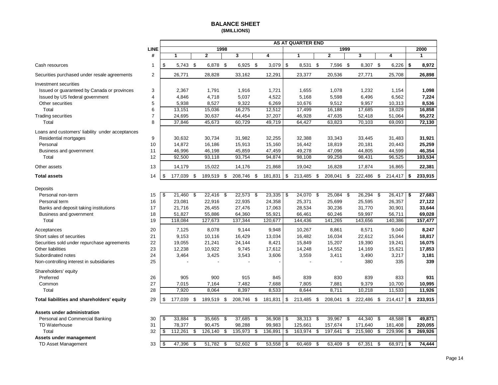<span id="page-15-0"></span>

|                                                  |                |                  |     |              |      |            |                   |     | <b>AS AT QUARTER END</b> |      |                |      |            |               |               |
|--------------------------------------------------|----------------|------------------|-----|--------------|------|------------|-------------------|-----|--------------------------|------|----------------|------|------------|---------------|---------------|
|                                                  | <b>LINE</b>    |                  |     | 1998         |      |            |                   |     |                          |      |                | 1999 |            |               | 2000          |
|                                                  | #              | 1                |     | $\mathbf{2}$ |      | 3          | 4                 |     | 1                        |      | $\overline{2}$ |      | 3          | 4             | 1             |
| Cash resources                                   | 1              | \$<br>$5,743$ \$ |     | 6,878        | - \$ | 6,925 \$   | 3,079             | \$  | 8,531 \$                 |      | 7,596          | \$   | 8,307 \$   | 6,226         | \$<br>8,972   |
| Securities purchased under resale agreements     | 2              | 26,771           |     | 28,828       |      | 33,162     | 12,291            |     | 23,377                   |      | 20,536         |      | 27,771     | 25,708        | 26,898        |
| Investment securities                            |                |                  |     |              |      |            |                   |     |                          |      |                |      |            |               |               |
| Issued or guaranteed by Canada or provinces      | 3              | 2,367            |     | 1,791        |      | 1,916      | 1,721             |     | 1,655                    |      | 1,078          |      | 1,232      | 1,154         | 1,098         |
| Issued by US federal government                  | 4              | 4,846            |     | 4,718        |      | 5,037      | 4,522             |     | 5,168                    |      | 5,598          |      | 6,496      | 6,562         | 7,224         |
| Other securities                                 | 5              | 5,938            |     | 8,527        |      | 9,322      | 6,269             |     | 10,676                   |      | 9,512          |      | 9,957      | 10,313        | 8,536         |
| Total                                            | 6              | 13,151           |     | 15,036       |      | 16,275     | 12,512            |     | 17,499                   |      | 16,188         |      | 17,685     | 18,029        | 16,858        |
| <b>Trading securities</b>                        | $\overline{7}$ | 24,695           |     | 30,637       |      | 44,454     | 37,207            |     | 46,928                   |      | 47,635         |      | 52,418     | 51,064        | 55,272        |
| Total                                            | 8              | 37,846           |     | 45,673       |      | 60,729     | 49,719            |     | 64,427                   |      | 63,823         |      | 70,103     | 69,093        | 72,130        |
| Loans and customers' liability under acceptances |                |                  |     |              |      |            |                   |     |                          |      |                |      |            |               |               |
| Residential mortgages                            | 9              | 30,632           |     | 30,734       |      | 31,982     | 32,255            |     | 32,388                   |      | 33,343         |      | 33,445     | 31,483        | 31,921        |
| Personal                                         | 10             | 14,872           |     | 16,186       |      | 15,913     | 15,160            |     | 16,442                   |      | 18,819         |      | 20,181     | 20,443        | 25,259        |
| Business and government                          | 11             | 46,996           |     | 46,198       |      | 45,859     | 47,459            |     | 49,278                   |      | 47,096         |      | 44,805     | 44,599        | 46,354        |
| Total                                            | 12             | 92,500           |     | 93,118       |      | 93,754     | 94,874            |     | 98,108                   |      | 99,258         |      | 98,431     | 96,525        | 103,534       |
| Other assets                                     | 13             | 14,179           |     | 15,022       |      | 14,176     | 21,868            |     | 19,042                   |      | 16,828         |      | 17,874     | 16,865        | 22,381        |
| <b>Total assets</b>                              | 14             | \$<br>177,039 \$ |     | 189,519 \$   |      | 208,746 \$ | 181,831           | \$  | 213,485 \$               |      | 208,041        | \$   | 222,486 \$ | 214,417       | \$<br>233,915 |
|                                                  |                |                  |     |              |      |            |                   |     |                          |      |                |      |            |               |               |
| Deposits                                         |                |                  |     |              |      |            |                   |     |                          |      |                |      |            |               |               |
| Personal non-term                                | 15             | \$<br>21,460     | \$  | 22,416 \$    |      | 22,573     | \$<br>23,335      | \$  | 24,070 \$                |      | 25,084         | \$   | 26,294 \$  | 26,417        | \$<br>27,683  |
| Personal term                                    | 16             | 23,081           |     | 22,916       |      | 22,935     | 24,358            |     | 25,371                   |      | 25,699         |      | 25,595     | 26,357        | 27,122        |
| Banks and deposit taking institutions            | 17             | 21,716           |     | 26,455       |      | 27,476     | 17,063            |     | 28,534                   |      | 30,236         |      | 31,770     | 30,901        | 33,644        |
| Business and government                          | 18             | 51,827           |     | 55,886       |      | 64,360     | 55,921            |     | 66,461                   |      | 60,246         |      | 59,997     | 56,711        | 69,028        |
| Total                                            | 19             | 118,084          |     | 127,673      |      | 137,344    | 120,677           |     | 144,436                  |      | 141,265        |      | 143,656    | 140,386       | 157,477       |
| Acceptances                                      | 20             | 7,125            |     | 8,078        |      | 9,144      | 9,948             |     | 10,267                   |      | 8,861          |      | 8,571      | 9.040         | 8,247         |
| Short sales of securities                        | 21             | 9,153            |     | 10,116       |      | 16,429     | 13,034            |     | 16,482                   |      | 16,034         |      | 22,612     | 15,044        | 18,817        |
| Securities sold under repurchase agreements      | 22             | 19,055           |     | 21,241       |      | 24,144     | 8,421             |     | 15,849                   |      | 15,207         |      | 19,390     | 19,241        | 16,075        |
| Other liabilities                                | 23             | 12,238           |     | 10,922       |      | 9,745      | 17,612            |     | 14,248                   |      | 14,552         |      | 14,169     | 15,621        | 17,853        |
| Subordinated notes                               | 24             | 3,464            |     | 3,425        |      | 3,543      | 3,606             |     | 3,559                    |      | 3,411          |      | 3,490      | 3,217         | 3,181         |
| Non-controlling interest in subsidiaries         | 25             |                  |     |              |      |            |                   |     |                          |      |                |      | 380        | 335           | 339           |
| Shareholders' equity                             |                |                  |     |              |      |            |                   |     |                          |      |                |      |            |               |               |
| Preferred                                        | 26             | 905              |     | 900          |      | 915        | 845               |     | 839                      |      | 830            |      | 839        | 833           | 931           |
| Common                                           | 27             | 7,015            |     | 7,164        |      | 7,482      | 7,688             |     | 7,805                    |      | 7,881          |      | 9,379      | 10,700        | 10,995        |
| Total                                            | 28             | 7,920            |     | 8,064        |      | 8,397      | 8,533             |     | 8.644                    |      | 8,711          |      | 10,218     | 11,533        | 11,926        |
| Total liabilities and shareholders' equity       | 29             | \$<br>177,039 \$ |     | 189,519 \$   |      | 208,746 \$ | 181,831           | \$  | 213,485 \$               |      | 208,041        | \$   | 222,486 \$ | 214,417       | \$<br>233,915 |
|                                                  |                |                  |     |              |      |            |                   |     |                          |      |                |      |            |               |               |
| Assets under administration                      |                |                  |     |              |      |            |                   |     |                          |      |                |      |            |               |               |
| Personal and Commercial Banking                  | 30             | \$<br>33,884 \$  |     | 35,665 \$    |      | 37,685     | \$<br>$36,908$ \$ |     | 38,313 \$                |      | 39,967         | \$   | 44,340 \$  | 48,588        | \$<br>49,871  |
| TD Waterhouse                                    | 31             | 78,377           |     | 90,475       |      | 98,288     | 99,983            |     | 125,661                  |      | 157,674        |      | 171,640    | 181,408       | 220,055       |
| Total                                            | 32             | \$<br>112,261    | \$  | 126,140      | \$   | 135,973    | \$<br>136,891     | \$  | 163,974                  | -\$  | 197,641        | \$   | 215,980    | \$<br>229,996 | \$<br>269,926 |
| Assets under management                          |                |                  |     |              |      |            |                   |     |                          |      |                |      |            |               |               |
| TD Asset Management                              | 33             | \$<br>47,396     | -\$ | 51,782       | -\$  | 52,602     | \$<br>53,558      | -\$ | 60,469                   | - \$ | 63.409         | \$   | 67,351     | \$<br>68,971  | \$<br>74.444  |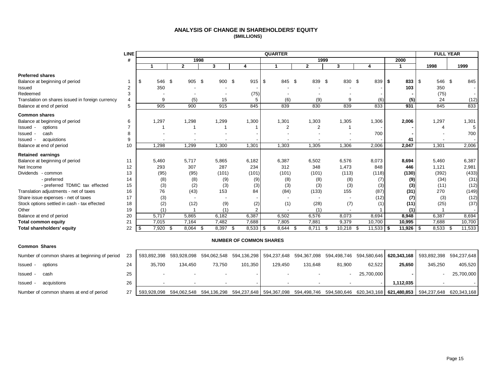#### **ANALYSIS OF CHANGE IN SHAREHOLDERS' EQUITY (\$MILLIONS)**

<span id="page-16-0"></span>

|                                                  | <b>LINE</b>    |              |        |              |        |                  | <b>QUARTER</b> |        |              |               |                    |               | <b>FULL YEAR</b>  |        |
|--------------------------------------------------|----------------|--------------|--------|--------------|--------|------------------|----------------|--------|--------------|---------------|--------------------|---------------|-------------------|--------|
|                                                  | #              |              |        | 1998         |        |                  |                |        | 1999         |               |                    | 2000          |                   |        |
|                                                  |                |              |        | $\mathbf{2}$ | 3      | 4                |                |        | $\mathbf{2}$ | 3             | 4                  | 1             | 1998              | 1999   |
| <b>Preferred shares</b>                          |                |              |        |              |        |                  |                |        |              |               |                    |               |                   |        |
| Balance at beginning of period                   |                | \$.          | 546 \$ | 905 \$       | 900 \$ | $915$ \$         |                | 845 \$ | 839          | 830 \$<br>-\$ | 839                | 833<br>l \$   | \$<br>- \$<br>546 | 845    |
| Issued                                           | $\overline{2}$ | 350          |        |              |        |                  |                |        |              |               |                    | 103           | 350               |        |
| Redeemed                                         | 3              |              |        |              |        | (75)             |                |        |              |               |                    |               | (75)              |        |
| Translation on shares issued in foreign currency | 4              | 9            |        | (5)          | 15     |                  |                | (6)    | (9)          | 9             | (6)                | (5)           | 24                | (12)   |
| Balance at end of period                         | 5              | 905          |        | 900          | 915    | 845              |                | 839    | 830          | 839           | 833                | 931           | 845               | 833    |
| <b>Common shares</b>                             |                |              |        |              |        |                  |                |        |              |               |                    |               |                   |        |
| Balance at beginning of period                   | 6              | 1,297        |        | 1,298        | 1,299  | 1,300            | 1,301          |        | 1,303        | 1,305         | 1,306              | 2,006         | 1,297             | 1,301  |
| Issued -<br>options                              | $\overline{7}$ |              |        |              |        |                  |                | 2      | 2            |               |                    |               |                   |        |
| cash<br>Issued -                                 | 8              |              |        |              |        |                  |                |        |              |               | 700                |               |                   | 700    |
| acquistions<br>Issued -                          | 9              |              |        |              |        |                  |                |        |              |               |                    | 41            |                   |        |
| Balance at end of period                         | 10             | 1,298        |        | 1,299        | 1,300  | 1,301            | 1,303          |        | 1,305        | 1,306         | 2,006              | 2,047         | 1,301             | 2,006  |
| <b>Retained earnings</b>                         |                |              |        |              |        |                  |                |        |              |               |                    |               |                   |        |
| Balance at beginning of period                   | 11             | 5,460        |        | 5,717        | 5,865  | 6,182            | 6,387          |        | 6,502        | 6,576         | 8,073              | 8,694         | 5,460             | 6,387  |
| Net Income                                       | 12             | 293          |        | 307          | 287    | 234              |                | 312    | 348          | 1,473         | 848                | 446           | 1,121             | 2,981  |
| Dividends - common                               | 13             | (95)         |        | (95)         | (101)  | (101)            |                | (101)  | (101)        | (113)         | (118)              | (130)         | (392)             | (433)  |
| - preferred                                      | 14             | (8)          |        | (8)          | (9)    | (9)              |                | (8)    | (8)          | (8)           | (7)                | (9)           | (34)              | (31)   |
| - preferred TDMIC tax effected                   | 15             | (3)          |        | (2)          | (3)    | (3)              |                | (3)    | (3)          | (3)           | (3)                | (3)           | (11)              | (12)   |
| Translation adjustments - net of taxes           | 16             | 76           |        | (43)         | 153    | 84               |                | (84)   | (133)        | 155           | (87)               | (31)          | 270               | (149)  |
| Share issue expenses - net of taxes              | 17             | (3)          |        |              |        |                  |                |        |              |               | (12)               | (7)           | (3)               | (12)   |
| Stock options settled in cash - tax effected     | 18             | (2)          |        | (12)         | (9)    | (2)              |                | (1)    | (28)         | (7)           | (1)                | (11)          | (25)              | (37)   |
| Other                                            | 19             | (1)          |        |              | (1)    | 2                |                |        | (1)          |               |                    | (1)           |                   |        |
| Balance at end of period                         | 20             | 5,717        |        | 5,865        | 6,182  | 6,387            | 6,502          |        | 6,576        | 8,073         | 8,694              | 8,948         | 6,387             | 8,694  |
| <b>Total common equity</b>                       | 21             | 7,015        |        | 7,164        | 7,482  | 7,688            | 7,805          |        | 7,881        | 9,379         | 10,700             | 10,995        | 7,688             | 10,700 |
| <b>Total shareholders' equity</b>                | 22             | 7,920<br>-\$ | \$     | 8,064<br>\$  | 8,397  | $8,533$ \$<br>\$ | 8,644          | \$     | 8.711        | 10,218<br>\$  | $11,533$ \$<br>-\$ | $11,926$ \ \$ | 8.533<br>\$       | 11,533 |

#### **NUMBER OF COMMON SHARES**

| <b>Common Shares</b>                           |    |             |         |        |         |         |         |        |            |           |                                                                                                                                     |            |
|------------------------------------------------|----|-------------|---------|--------|---------|---------|---------|--------|------------|-----------|-------------------------------------------------------------------------------------------------------------------------------------|------------|
| Number of common shares at beginning of period | 23 |             |         |        |         |         |         |        |            |           | 593,892,398 593,928,098 594,062,548 594,136,298 594,237,648 594,367,098 594,498,746 594,580,646 620,343,168 593,892,398 594,237,648 |            |
| Issued -<br>options                            | 24 | 35.700      | 134.450 | 73.750 | 101.350 | 129.450 | 131.648 | 81.900 | 62,522     | 25,650    | 345.250                                                                                                                             | 405,520    |
| Issued -<br>cash                               | 25 |             |         |        |         |         |         |        | 25,700,000 |           |                                                                                                                                     | 25,700,000 |
| Issued -<br>acquistions                        | 26 |             |         |        |         |         |         |        |            | 1.112.035 |                                                                                                                                     |            |
| Number of common shares at end of period       | 27 | 593.928.098 |         |        |         |         |         |        |            |           | 594,062,548 594,136,298 594,237,648 594,367,098 594,498,746 594,580,646 620,343,168 <b>621,480,853</b> 594,237,648 620,343,168      |            |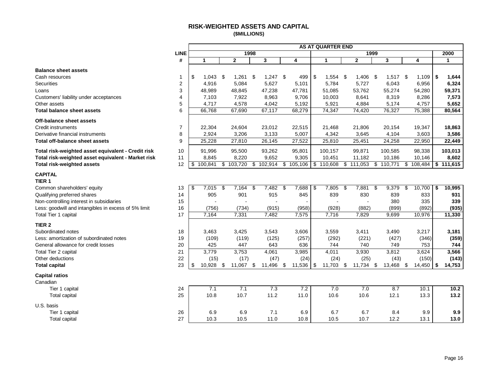## **RISK-WEIGHTED ASSETS AND CAPITAL (\$MILLIONS)**

<span id="page-17-0"></span>

|                                                      |                         |               |     |                |     |            |             | <b>AS AT QUARTER END</b> |                   |      |            |               |              |
|------------------------------------------------------|-------------------------|---------------|-----|----------------|-----|------------|-------------|--------------------------|-------------------|------|------------|---------------|--------------|
|                                                      | <b>LINE</b>             |               |     | 1998           |     |            |             |                          |                   | 1999 |            |               | 2000         |
|                                                      | #                       | $\mathbf{1}$  |     | $\overline{2}$ |     | 3          | 4           | $\mathbf{1}$             | $\overline{2}$    |      | 3          | 4             | $\mathbf{1}$ |
| <b>Balance sheet assets</b>                          |                         |               |     |                |     |            |             |                          |                   |      |            |               |              |
| Cash resources                                       | 1                       | \$<br>1,043   | -\$ | 1,261          | \$  | $1,247$ \$ | 499         | \$<br>$1,554$ \$         | 1,406             | -\$  | $1,517$ \$ | 1,109         | \$<br>1,644  |
| <b>Securities</b>                                    | $\overline{2}$          | 4,916         |     | 5,084          |     | 5,627      | 5,101       | 5,784                    | 5,727             |      | 6,043      | 6,956         | 6,324        |
| Loans                                                | 3                       | 48,989        |     | 48,845         |     | 47,238     | 47,781      | 51,085                   | 53,762            |      | 55,274     | 54,280        | 59,371       |
| Customers' liability under acceptances               | $\overline{\mathbf{4}}$ | 7,103         |     | 7,922          |     | 8,963      | 9,706       | 10,003                   | 8,641             |      | 8,319      | 8,286         | 7,573        |
| Other assets                                         | 5                       | 4,717         |     | 4,578          |     | 4,042      | 5,192       | 5,921                    | 4,884             |      | 5,174      | 4,757         | 5,652        |
| <b>Total balance sheet assets</b>                    | 6                       | 66,768        |     | 67,690         |     | 67,117     | 68,279      | 74,347                   | 74,420            |      | 76,327     | 75,388        | 80,564       |
| Off-balance sheet assets                             |                         |               |     |                |     |            |             |                          |                   |      |            |               |              |
| Credit instruments                                   | $\overline{7}$          | 22,304        |     | 24,604         |     | 23,012     | 22,515      | 21,468                   | 21,806            |      | 20,154     | 19,347        | 18,863       |
| Derivative financial instruments                     | 8                       | 2,924         |     | 3,206          |     | 3,133      | 5,007       | 4,342                    | 3,645             |      | 4,104      | 3,603         | 3,586        |
| Total off-balance sheet assets                       | 9                       | 25,228        |     | 27,810         |     | 26,145     | 27,522      | 25,810                   | 25,451            |      | 24,258     | 22,950        | 22,449       |
| Total risk-weighted asset equivalent - Credit risk   | 10                      | 91,996        |     | 95,500         |     | 93,262     | 95,801      | 100,157                  | 99,871            |      | 100,585    | 98,338        | 103,013      |
| Total risk-weighted asset equivalent - Market risk   | 11                      | 8,845         |     | 8,220          |     | 9,652      | 9,305       | 10,451                   | 11,182            |      | 10,186     | 10,146        | 8,602        |
| <b>Total risk-weighted assets</b>                    | 12                      | \$<br>100,841 |     | \$103,720      | \$  | 102,914    | \$105,106   | \$<br>110,608            | \$<br>111,053     | s)   | 110,771    | \$<br>108,484 | \$111,615    |
| <b>CAPITAL</b>                                       |                         |               |     |                |     |            |             |                          |                   |      |            |               |              |
| TIER <sub>1</sub>                                    |                         |               |     |                |     |            |             |                          |                   |      |            |               |              |
| Common shareholders' equity                          | 13                      | \$<br>7,015   | \$  | 7,164          | \$  | 7,482      | \$<br>7,688 | 7,805<br>\$              | \$<br>7,881       | \$   | 9,379      | \$<br>10,700  | \$<br>10,995 |
| Qualifying preferred shares                          | 14                      | 905           |     | 901            |     | 915        | 845         | 839                      | 830               |      | 839        | 833           | 931          |
| Non-controlling interest in subsidiaries             | 15                      |               |     |                |     |            |             |                          |                   |      | 380        | 335           | 339          |
| Less: goodwill and intangibles in excess of 5% limit | 16                      | (756)         |     | (734)          |     | (915)      | (958)       | (928)                    | (882)             |      | (899)      | (892)         | (935)        |
| Total Tier 1 capital                                 | 17                      | 7,164         |     | 7,331          |     | 7,482      | 7,575       | 7,716                    | 7,829             |      | 9,699      | 10,976        | 11,330       |
| TIER <sub>2</sub>                                    |                         |               |     |                |     |            |             |                          |                   |      |            |               |              |
| Subordinated notes                                   | 18                      | 3,463         |     | 3,425          |     | 3,543      | 3,606       | 3,559                    | 3,411             |      | 3,490      | 3,217         | 3,181        |
| Less: amortization of subordinated notes             | 19                      | (109)         |     | (119)          |     | (125)      | (257)       | (292)                    | (221)             |      | (427)      | (346)         | (359)        |
| General allowance for credit losses                  | 20                      | 425           |     | 447            |     | 643        | 636         | 744                      | 740               |      | 749        | 753           | 744          |
| Total Tier 2 capital                                 | 21                      | 3,779         |     | 3,753          |     | 4,061      | 3,985       | 4,011                    | 3,930             |      | 3,812      | 3,624         | 3,566        |
| Other deductions                                     | 22                      | (15)          |     | (17)           |     | (47)       | (24)        | (24)                     | (25)              |      | (43)       | (150)         | (143)        |
| <b>Total capital</b>                                 | 23                      | \$<br>10,928  | \$  | 11,067         | -\$ | 11,496 \$  | 11,536      | \$<br>11,703             | \$<br>$11,734$ \$ |      | 13,468 \$  | 14,450        | \$<br>14,753 |
| <b>Capital ratios</b>                                |                         |               |     |                |     |            |             |                          |                   |      |            |               |              |
| Canadian                                             |                         |               |     |                |     |            |             |                          |                   |      |            |               |              |
| Tier 1 capital                                       | 24                      | 7.1           |     | 7.1            |     | 7.3        | 7.2         | 7.0                      | 7.0               |      | 8.7        | 10.1          | 10.2         |
| <b>Total capital</b>                                 | 25                      | 10.8          |     | 10.7           |     | 11.2       | 11.0        | 10.6                     | 10.6              |      | 12.1       | 13.3          | 13.2         |
| U.S. basis                                           |                         |               |     |                |     |            |             |                          |                   |      |            |               |              |
| Tier 1 capital                                       | 26                      | 6.9           |     | 6.9            |     | 7.1        | 6.9         | 6.7                      | 6.7               |      | 8.4        | 9.9           | 9.9          |
| <b>Total capital</b>                                 | 27                      | 10.3          |     | 10.5           |     | 11.0       | 10.8        | 10.5                     | 10.7              |      | 12.2       | 13.1          | 13.0         |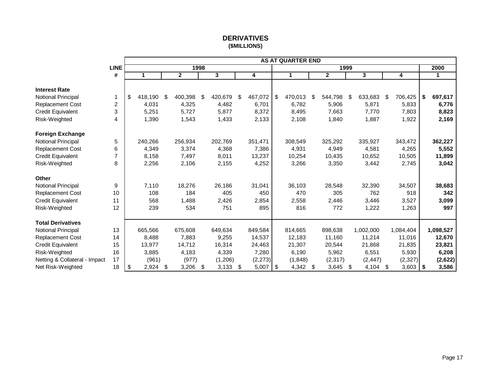## **DERIVATIVES (\$MILLIONS)**

<span id="page-18-0"></span>

|                               |             |               |     |              |      |                         |               | <b>AS AT QUARTER END</b> |                         |      |                         |               |      |              |
|-------------------------------|-------------|---------------|-----|--------------|------|-------------------------|---------------|--------------------------|-------------------------|------|-------------------------|---------------|------|--------------|
|                               | <b>LINE</b> |               |     |              | 1998 |                         |               |                          |                         | 1999 |                         |               |      | 2000         |
|                               | #           | 1             |     | $\mathbf{2}$ |      | $\overline{\mathbf{3}}$ | 4             | $\mathbf 1$              | $\overline{\mathbf{2}}$ |      | $\overline{\mathbf{3}}$ | 4             |      | $\mathbf{1}$ |
| <b>Interest Rate</b>          |             |               |     |              |      |                         |               |                          |                         |      |                         |               |      |              |
| Notional Principal            | 1           | \$<br>418,190 | \$  | 400,398      | \$   | 420,679                 | \$<br>467,072 | \$<br>470,013            | \$<br>544,798           | \$   | 633,683                 | \$<br>706,425 | \$   | 697,617      |
| <b>Replacement Cost</b>       | 2           | 4,031         |     | 4,325        |      | 4,482                   | 6,701         | 6,782                    | 5,906                   |      | 5,871                   | 5,833         |      | 6,776        |
| <b>Credit Equivalent</b>      | 3           | 5,251         |     | 5,727        |      | 5,877                   | 8,372         | 8,495                    | 7.663                   |      | 7,770                   | 7.803         |      | 8,823        |
| Risk-Weighted                 | 4           | 1,390         |     | 1,543        |      | 1,433                   | 2,133         | 2,108                    | 1,840                   |      | 1,887                   | 1,922         |      | 2,169        |
|                               |             |               |     |              |      |                         |               |                          |                         |      |                         |               |      |              |
| <b>Foreign Exchange</b>       |             |               |     |              |      |                         |               |                          |                         |      |                         |               |      |              |
| Notional Principal            | 5           | 240,266       |     | 256,934      |      | 202,769                 | 351,471       | 308,549                  | 325,292                 |      | 335,927                 | 343,472       |      | 362,227      |
| <b>Replacement Cost</b>       | 6           | 4,349         |     | 3,374        |      | 4,368                   | 7,386         | 4,931                    | 4,949                   |      | 4,581                   | 4,265         |      | 5,552        |
| <b>Credit Equivalent</b>      | 7           | 8,158         |     | 7,497        |      | 8,011                   | 13,237        | 10,254                   | 10,435                  |      | 10,652                  | 10,505        |      | 11,899       |
| Risk-Weighted                 | 8           | 2,256         |     | 2,106        |      | 2,155                   | 4,252         | 3,266                    | 3,350                   |      | 3,442                   | 2,745         |      | 3,042        |
|                               |             |               |     |              |      |                         |               |                          |                         |      |                         |               |      |              |
| <b>Other</b>                  |             |               |     |              |      |                         |               |                          |                         |      |                         |               |      |              |
| Notional Principal            | 9           | 7,110         |     | 18,276       |      | 26,186                  | 31,041        | 36,103                   | 28,548                  |      | 32,390                  | 34,507        |      | 38,683       |
| Replacement Cost              | 10          | 108           |     | 184          |      | 405                     | 450           | 470                      | 305                     |      | 762                     | 918           |      | 342          |
| <b>Credit Equivalent</b>      | 11          | 568           |     | 1,488        |      | 2,426                   | 2,854         | 2,558                    | 2,446                   |      | 3,446                   | 3,527         |      | 3,099        |
| Risk-Weighted                 | 12          | 239           |     | 534          |      | 751                     | 895           | 816                      | 772                     |      | 1,222                   | 1,263         |      | 997          |
|                               |             |               |     |              |      |                         |               |                          |                         |      |                         |               |      |              |
| <b>Total Derivatives</b>      |             |               |     |              |      |                         |               |                          |                         |      |                         |               |      |              |
| Notional Principal            | 13          | 665,566       |     | 675,608      |      | 649,634                 | 849,584       | 814,665                  | 898,638                 |      | 1,002,000               | 1,084,404     |      | 1,098,527    |
| <b>Replacement Cost</b>       | 14          | 8,488         |     | 7,883        |      | 9,255                   | 14,537        | 12,183                   | 11,160                  |      | 11,214                  | 11,016        |      | 12,670       |
| Credit Equivalent             | 15          | 13,977        |     | 14,712       |      | 16,314                  | 24,463        | 21,307                   | 20,544                  |      | 21,868                  | 21,835        |      | 23,821       |
| Risk-Weighted                 | 16          | 3,885         |     | 4,183        |      | 4,339                   | 7,280         | 6,190                    | 5,962                   |      | 6,551                   | 5,930         |      | 6,208        |
| Netting & Collateral - Impact | 17          | (961)         |     | (977)        |      | (1,206)                 | (2, 273)      | (1,848)                  | (2, 317)                |      | (2, 447)                | (2, 327)      |      | (2,622)      |
| Net Risk-Weighted             | 18          | \$<br>2,924   | -\$ | 3,206        | \$   | 3,133                   | \$<br>5,007   | \$<br>4,342 \$           | 3,645                   | \$   | $4,104$ \$              | 3,603         | - \$ | 3,586        |